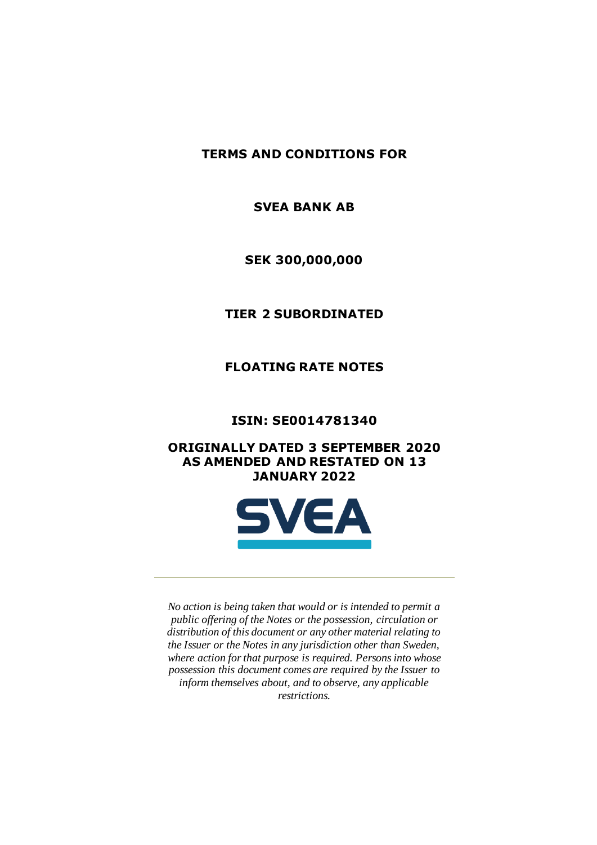**TERMS AND CONDITIONS FOR**

**SVEA BANK AB**

**SEK 300,000,000**

**TIER 2 SUBORDINATED** 

**FLOATING RATE NOTES**

**ISIN: SE0014781340**

**ORIGINALLY DATED 3 SEPTEMBER 2020 AS AMENDED AND RESTATED ON 13 JANUARY 2022**



*No action is being taken that would or is intended to permit a public offering of the Notes or the possession, circulation or distribution of this document or any other material relating to the Issuer or the Notes in any jurisdiction other than Sweden, where action for that purpose is required. Persons into whose possession this document comes are required by the Issuer to inform themselves about, and to observe, any applicable restrictions.*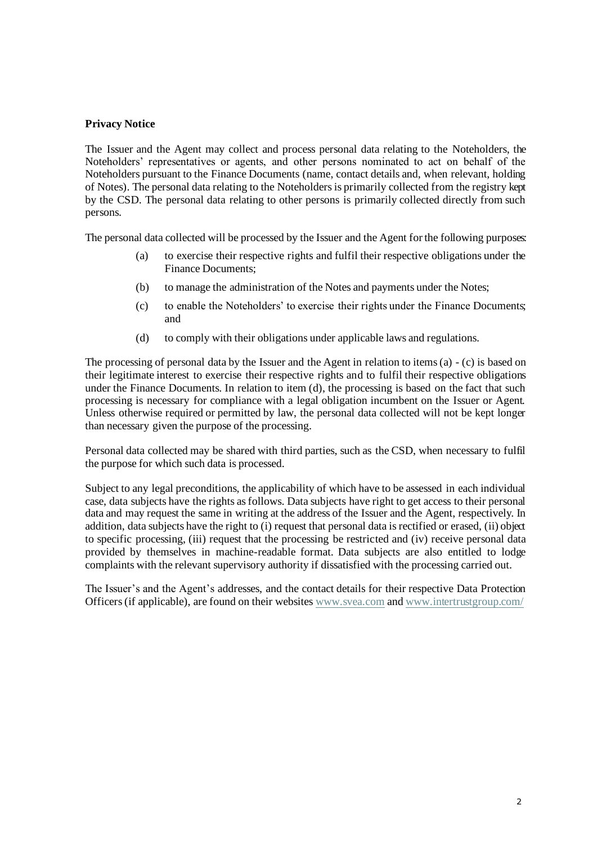#### **Privacy Notice**

The Issuer and the Agent may collect and process personal data relating to the Noteholders, the Noteholders' representatives or agents, and other persons nominated to act on behalf of the Noteholders pursuant to the Finance Documents (name, contact details and, when relevant, holding of Notes). The personal data relating to the Noteholders is primarily collected from the registry kept by the CSD. The personal data relating to other persons is primarily collected directly from such persons.

The personal data collected will be processed by the Issuer and the Agent for the following purposes:

- (a) to exercise their respective rights and fulfil their respective obligations under the Finance Documents;
- (b) to manage the administration of the Notes and payments under the Notes;
- (c) to enable the Noteholders' to exercise their rights under the Finance Documents; and
- (d) to comply with their obligations under applicable laws and regulations.

The processing of personal data by the Issuer and the Agent in relation to items (a) - (c) is based on their legitimate interest to exercise their respective rights and to fulfil their respective obligations under the Finance Documents. In relation to item (d), the processing is based on the fact that such processing is necessary for compliance with a legal obligation incumbent on the Issuer or Agent. Unless otherwise required or permitted by law, the personal data collected will not be kept longer than necessary given the purpose of the processing.

Personal data collected may be shared with third parties, such as the CSD, when necessary to fulfil the purpose for which such data is processed.

Subject to any legal preconditions, the applicability of which have to be assessed in each individual case, data subjects have the rights as follows. Data subjects have right to get access to their personal data and may request the same in writing at the address of the Issuer and the Agent, respectively. In addition, data subjects have the right to (i) request that personal data is rectified or erased, (ii) object to specific processing, (iii) request that the processing be restricted and (iv) receive personal data provided by themselves in machine-readable format. Data subjects are also entitled to lodge complaints with the relevant supervisory authority if dissatisfied with the processing carried out.

The Issuer's and the Agent's addresses, and the contact details for their respective Data Protection Officers (if applicable), are found on their websites www.svea.com an[d www.intertrustgroup.com/](about:blank)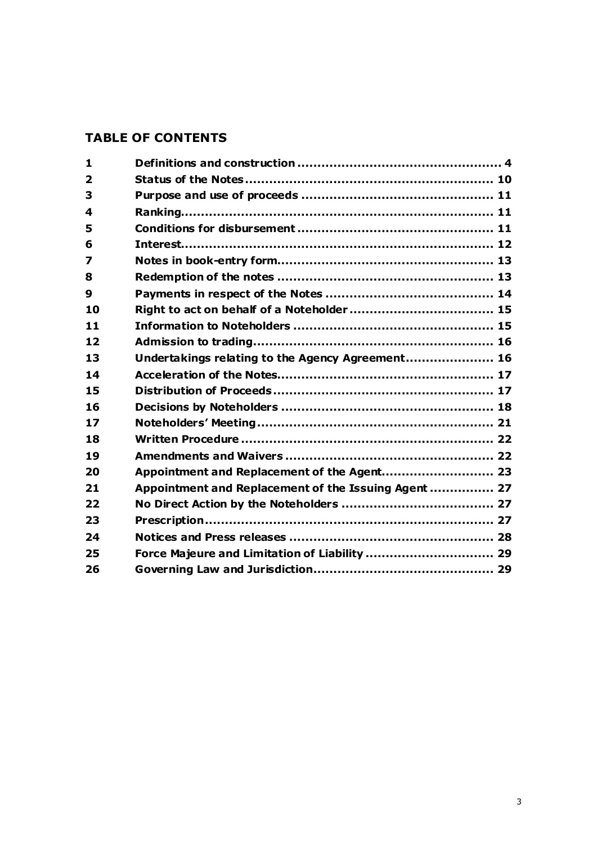# **TABLE OF CONTENTS**

| 1                       |                                                      |  |
|-------------------------|------------------------------------------------------|--|
| $\overline{\mathbf{2}}$ |                                                      |  |
| 3                       |                                                      |  |
| 4                       |                                                      |  |
| 5                       |                                                      |  |
| 6                       |                                                      |  |
| 7                       |                                                      |  |
| 8                       |                                                      |  |
| $\boldsymbol{9}$        |                                                      |  |
| 10                      |                                                      |  |
| 11                      |                                                      |  |
| 12                      |                                                      |  |
| 13                      | Undertakings relating to the Agency Agreement 16     |  |
| 14                      |                                                      |  |
| 15                      |                                                      |  |
| 16                      |                                                      |  |
| 17                      |                                                      |  |
| 18                      |                                                      |  |
| 19                      |                                                      |  |
| 20                      | Appointment and Replacement of the Agent 23          |  |
| 21                      | Appointment and Replacement of the Issuing Agent  27 |  |
| 22                      |                                                      |  |
| 23                      |                                                      |  |
| 24                      |                                                      |  |
| 25                      | Force Majeure and Limitation of Liability  29        |  |
| 26                      |                                                      |  |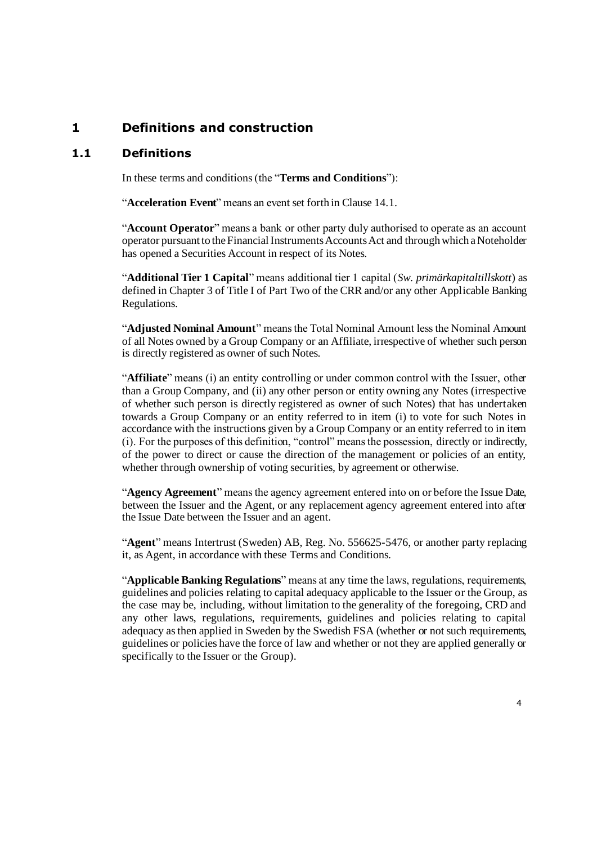### **1 Definitions and construction**

#### **1.1 Definitions**

In these terms and conditions (the "**Terms and Conditions**"):

"**Acceleration Event**" means an event set forth in Clause 14.1.

"**Account Operator**" means a bank or other party duly authorised to operate as an account operator pursuant to the Financial Instruments Accounts Act and through which a Noteholder has opened a Securities Account in respect of its Notes.

"**Additional Tier 1 Capital**" means additional tier 1 capital (*Sw. primärkapitaltillskott*) as defined in Chapter 3 of Title I of Part Two of the CRR and/or any other Applicable Banking Regulations.

"**Adjusted Nominal Amount**" means the Total Nominal Amount less the Nominal Amount of all Notes owned by a Group Company or an Affiliate, irrespective of whether such person is directly registered as owner of such Notes.

"**Affiliate**" means (i) an entity controlling or under common control with the Issuer, other than a Group Company, and (ii) any other person or entity owning any Notes (irrespective of whether such person is directly registered as owner of such Notes) that has undertaken towards a Group Company or an entity referred to in item (i) to vote for such Notes in accordance with the instructions given by a Group Company or an entity referred to in item (i). For the purposes of this definition, "control" means the possession, directly or indirectly, of the power to direct or cause the direction of the management or policies of an entity, whether through ownership of voting securities, by agreement or otherwise.

"**Agency Agreement**" means the agency agreement entered into on or before the Issue Date, between the Issuer and the Agent, or any replacement agency agreement entered into after the Issue Date between the Issuer and an agent.

"**Agent**" means Intertrust (Sweden) AB, Reg. No. 556625-5476, or another party replacing it, as Agent, in accordance with these Terms and Conditions.

"**Applicable Banking Regulations**" means at any time the laws, regulations, requirements, guidelines and policies relating to capital adequacy applicable to the Issuer or the Group, as the case may be, including, without limitation to the generality of the foregoing, CRD and any other laws, regulations, requirements, guidelines and policies relating to capital adequacy as then applied in Sweden by the Swedish FSA (whether or not such requirements, guidelines or policies have the force of law and whether or not they are applied generally or specifically to the Issuer or the Group).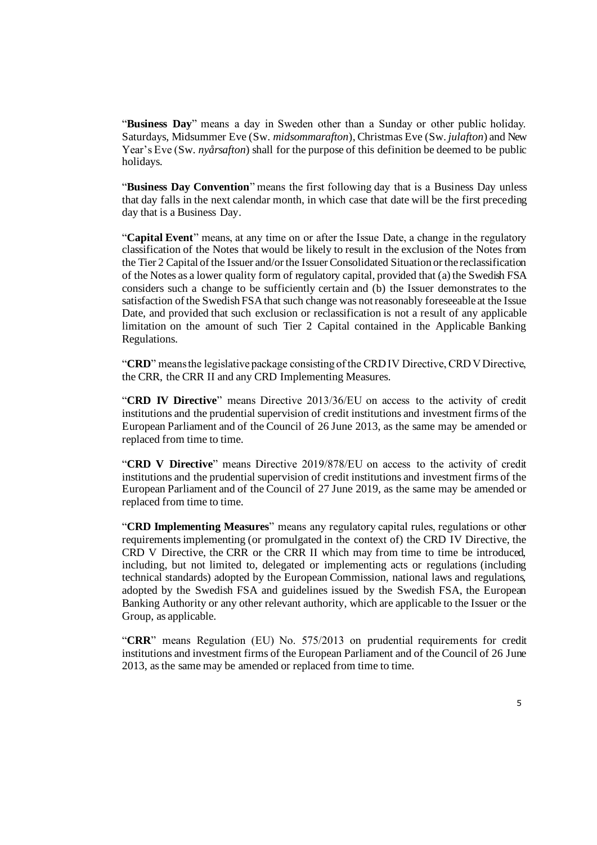"**Business Day**" means a day in Sweden other than a Sunday or other public holiday. Saturdays, Midsummer Eve (Sw. *midsommarafton*), Christmas Eve (Sw. *julafton*) and New Year's Eve (Sw. *nyårsafton*) shall for the purpose of this definition be deemed to be public holidays.

"**Business Day Convention**" means the first following day that is a Business Day unless that day falls in the next calendar month, in which case that date will be the first preceding day that is a Business Day.

"**Capital Event**" means, at any time on or after the Issue Date, a change in the regulatory classification of the Notes that would be likely to result in the exclusion of the Notes from the Tier 2 Capital of the Issuer and/or the Issuer Consolidated Situation or the reclassification of the Notes as a lower quality form of regulatory capital, provided that (a) the Swedish FSA considers such a change to be sufficiently certain and (b) the Issuer demonstrates to the satisfaction of the Swedish FSA that such change was not reasonably foreseeable at the Issue Date, and provided that such exclusion or reclassification is not a result of any applicable limitation on the amount of such Tier 2 Capital contained in the Applicable Banking Regulations.

"**CRD**" means the legislative package consisting of the CRD IV Directive, CRD V Directive, the CRR, the CRR II and any CRD Implementing Measures.

"**CRD IV Directive**" means Directive 2013/36/EU on access to the activity of credit institutions and the prudential supervision of credit institutions and investment firms of the European Parliament and of the Council of 26 June 2013, as the same may be amended or replaced from time to time.

"**CRD V Directive**" means Directive 2019/878/EU on access to the activity of credit institutions and the prudential supervision of credit institutions and investment firms of the European Parliament and of the Council of 27 June 2019, as the same may be amended or replaced from time to time.

"**CRD Implementing Measures**" means any regulatory capital rules, regulations or other requirements implementing (or promulgated in the context of) the CRD IV Directive, the CRD V Directive, the CRR or the CRR II which may from time to time be introduced, including, but not limited to, delegated or implementing acts or regulations (including technical standards) adopted by the European Commission, national laws and regulations, adopted by the Swedish FSA and guidelines issued by the Swedish FSA, the European Banking Authority or any other relevant authority, which are applicable to the Issuer or the Group, as applicable.

"**CRR**" means Regulation (EU) No. 575/2013 on prudential requirements for credit institutions and investment firms of the European Parliament and of the Council of 26 June 2013, as the same may be amended or replaced from time to time.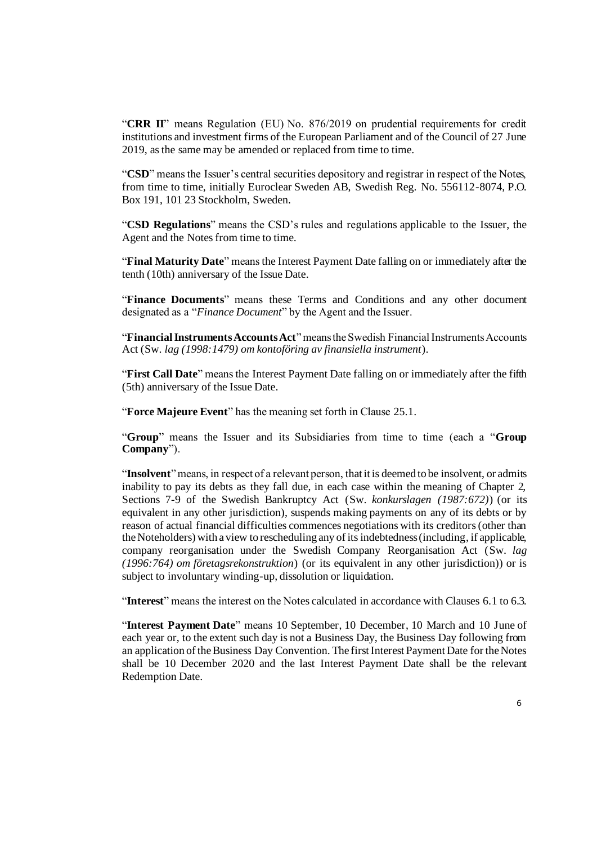"**CRR II**" means Regulation (EU) No. 876/2019 on prudential requirements for credit institutions and investment firms of the European Parliament and of the Council of 27 June 2019, as the same may be amended or replaced from time to time.

"**CSD**" means the Issuer's central securities depository and registrar in respect of the Notes, from time to time, initially Euroclear Sweden AB, Swedish Reg. No. 556112-8074, P.O. Box 191, 101 23 Stockholm, Sweden.

"**CSD Regulations**" means the CSD's rules and regulations applicable to the Issuer, the Agent and the Notes from time to time.

"**Final Maturity Date**" meansthe Interest Payment Date falling on or immediately after the tenth (10th) anniversary of the Issue Date.

"**Finance Documents**" means these Terms and Conditions and any other document designated as a "*Finance Document*" by the Agent and the Issuer.

"**Financial Instruments Accounts Act**" means the Swedish Financial Instruments Accounts Act (Sw. *lag (1998:1479) om kontoföring av finansiella instrument*).

"**First Call Date**" means the Interest Payment Date falling on or immediately after the fifth (5th) anniversary of the Issue Date.

"**Force Majeure Event**" has the meaning set forth in Clause [25.1.](#page-28-0)

"**Group**" means the Issuer and its Subsidiaries from time to time (each a "**Group Company**").

"**Insolvent**" means, in respect of a relevant person, that it is deemed to be insolvent, or admits inability to pay its debts as they fall due, in each case within the meaning of Chapter 2, Sections 7-9 of the Swedish Bankruptcy Act (Sw. *konkurslagen (1987:672)*) (or its equivalent in any other jurisdiction), suspends making payments on any of its debts or by reason of actual financial difficulties commences negotiations with its creditors (other than the Noteholders) with a view to rescheduling any of its indebtedness (including, if applicable, company reorganisation under the Swedish Company Reorganisation Act (Sw. *lag (1996:764) om företagsrekonstruktion*) (or its equivalent in any other jurisdiction)) or is subject to involuntary winding-up, dissolution or liquidation.

"**Interest**" means the interest on the Notes calculated in accordance with Clauses 6.1 to 6.3.

"**Interest Payment Date**" means 10 September, 10 December, 10 March and 10 June of each year or, to the extent such day is not a Business Day, the Business Day following from an application of the Business Day Convention. The first Interest Payment Date for the Notes shall be 10 December 2020 and the last Interest Payment Date shall be the relevant Redemption Date.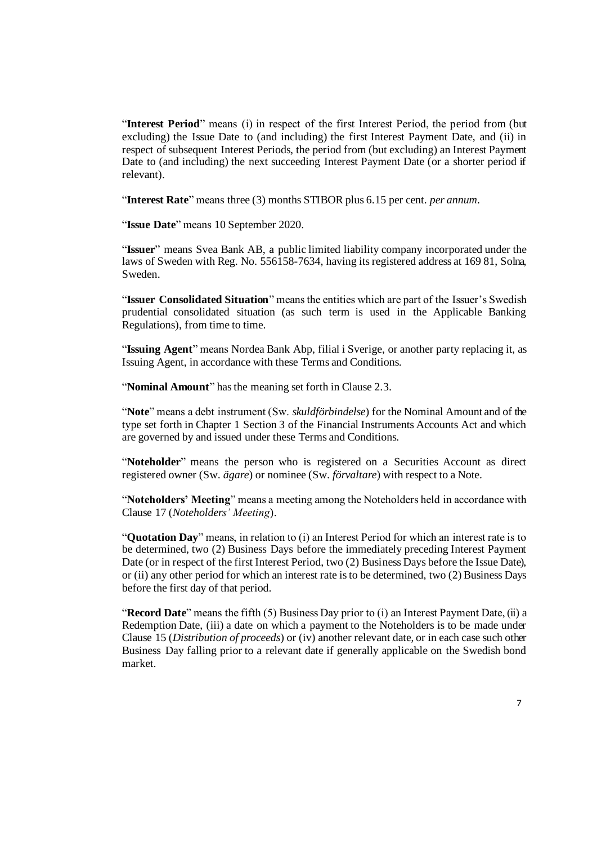"**Interest Period**" means (i) in respect of the first Interest Period, the period from (but excluding) the Issue Date to (and including) the first Interest Payment Date, and (ii) in respect of subsequent Interest Periods, the period from (but excluding) an Interest Payment Date to (and including) the next succeeding Interest Payment Date (or a shorter period if relevant).

"**Interest Rate**" means three (3) months STIBOR plus 6.15 per cent. *per annum*.

"**Issue Date**" means 10 September 2020.

"**Issuer**" means Svea Bank AB, a public limited liability company incorporated under the laws of Sweden with Reg. No. 556158-7634, having its registered address at 169 81, Solna, Sweden.

"**Issuer Consolidated Situation**" means the entities which are part of the Issuer's Swedish prudential consolidated situation (as such term is used in the Applicable Banking Regulations), from time to time.

"**Issuing Agent**" means Nordea Bank Abp, filial i Sverige, or another party replacing it, as Issuing Agent, in accordance with these Terms and Conditions.

"**Nominal Amount**" has the meaning set forth in Clause [2.3.](#page-9-0)

"**Note**" means a debt instrument (Sw. *skuldförbindelse*) for the Nominal Amount and of the type set forth in Chapter 1 Section 3 of the Financial Instruments Accounts Act and which are governed by and issued under these Terms and Conditions.

"**Noteholder**" means the person who is registered on a Securities Account as direct registered owner (Sw. *ägare*) or nominee (Sw. *förvaltare*) with respect to a Note.

"**Noteholders' Meeting**" means a meeting among the Noteholders held in accordance with Clause 17 (*Noteholders' Meeting*).

"**Quotation Day**" means, in relation to (i) an Interest Period for which an interest rate is to be determined, two (2) Business Days before the immediately preceding Interest Payment Date (or in respect of the first Interest Period, two (2) Business Days before the Issue Date), or (ii) any other period for which an interest rate is to be determined, two (2) Business Days before the first day of that period.

"**Record Date**" means the fifth (5) Business Day prior to (i) an Interest Payment Date, (ii) a Redemption Date, (iii) a date on which a payment to the Noteholders is to be made under Clause [15](#page-16-0) (*Distribution of proceeds*) or (iv) another relevant date, or in each case such other Business Day falling prior to a relevant date if generally applicable on the Swedish bond market.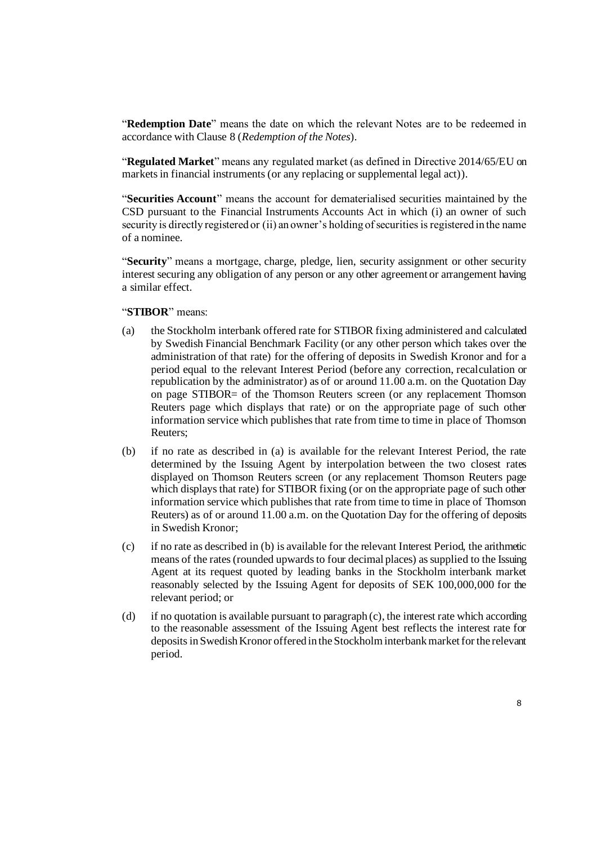"**Redemption Date**" means the date on which the relevant Notes are to be redeemed in accordance with Clause 8 (*Redemption of the Notes*).

"**Regulated Market**" means any regulated market (as defined in Directive 2014/65/EU on markets in financial instruments (or any replacing or supplemental legal act)).

"**Securities Account**" means the account for dematerialised securities maintained by the CSD pursuant to the Financial Instruments Accounts Act in which (i) an owner of such security is directly registered or (ii) an owner's holding of securities is registered in the name of a nominee.

"**Security**" means a mortgage, charge, pledge, lien, security assignment or other security interest securing any obligation of any person or any other agreement or arrangement having a similar effect.

#### "**STIBOR**" means:

- (a) the Stockholm interbank offered rate for STIBOR fixing administered and calculated by Swedish Financial Benchmark Facility (or any other person which takes over the administration of that rate) for the offering of deposits in Swedish Kronor and for a period equal to the relevant Interest Period (before any correction, recalculation or republication by the administrator) as of or around 11.00 a.m. on the Quotation Day on page STIBOR= of the Thomson Reuters screen (or any replacement Thomson Reuters page which displays that rate) or on the appropriate page of such other information service which publishes that rate from time to time in place of Thomson Reuters;
- (b) if no rate as described in (a) is available for the relevant Interest Period, the rate determined by the Issuing Agent by interpolation between the two closest rates displayed on Thomson Reuters screen (or any replacement Thomson Reuters page which displays that rate) for STIBOR fixing (or on the appropriate page of such other information service which publishes that rate from time to time in place of Thomson Reuters) as of or around 11.00 a.m. on the Quotation Day for the offering of deposits in Swedish Kronor;
- (c) if no rate as described in (b) is available for the relevant Interest Period, the arithmetic means of the rates (rounded upwards to four decimal places) as supplied to the Issuing Agent at its request quoted by leading banks in the Stockholm interbank market reasonably selected by the Issuing Agent for deposits of SEK 100,000,000 for the relevant period; or
- (d) if no quotation is available pursuant to paragraph (c), the interest rate which according to the reasonable assessment of the Issuing Agent best reflects the interest rate for deposits in Swedish Kronor offered in the Stockholm interbank market for the relevant period.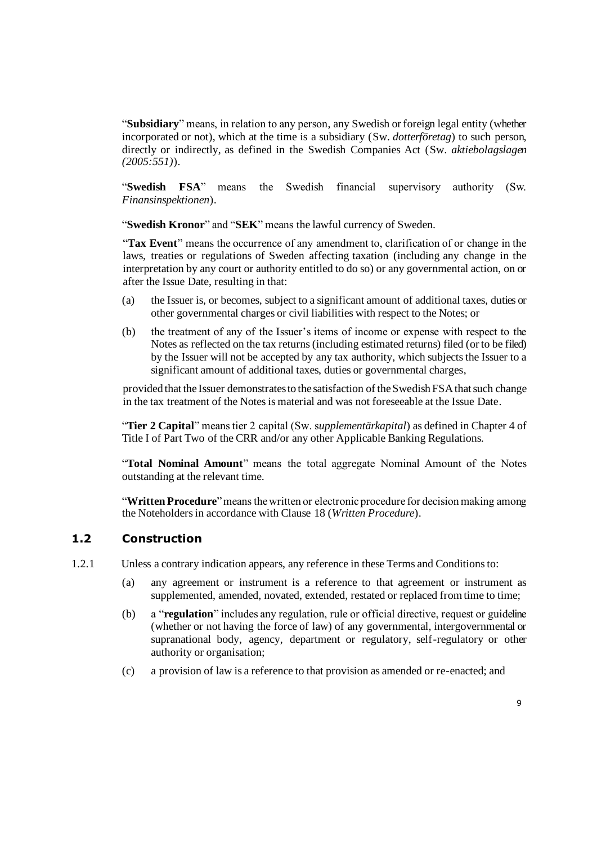"**Subsidiary**" means, in relation to any person, any Swedish or foreign legal entity (whether incorporated or not), which at the time is a subsidiary (Sw. *dotterföretag*) to such person, directly or indirectly, as defined in the Swedish Companies Act (Sw. *aktiebolagslagen (2005:551)*).

"**Swedish FSA**" means the Swedish financial supervisory authority (Sw. *Finansinspektionen*).

"**Swedish Kronor**" and "**SEK**" means the lawful currency of Sweden.

"**Tax Event**" means the occurrence of any amendment to, clarification of or change in the laws, treaties or regulations of Sweden affecting taxation (including any change in the interpretation by any court or authority entitled to do so) or any governmental action, on or after the Issue Date, resulting in that:

- (a) the Issuer is, or becomes, subject to a significant amount of additional taxes, duties or other governmental charges or civil liabilities with respect to the Notes; or
- (b) the treatment of any of the Issuer's items of income or expense with respect to the Notes as reflected on the tax returns (including estimated returns) filed (or to be filed) by the Issuer will not be accepted by any tax authority, which subjects the Issuer to a significant amount of additional taxes, duties or governmental charges,

provided that the Issuer demonstrates to the satisfaction of the Swedish FSA that such change in the tax treatment of the Notes is material and was not foreseeable at the Issue Date.

"**Tier 2 Capital**" means tier 2 capital (Sw. s*upplementärkapital*) as defined in Chapter 4 of Title I of Part Two of the CRR and/or any other Applicable Banking Regulations.

"**Total Nominal Amount**" means the total aggregate Nominal Amount of the Notes outstanding at the relevant time.

"**Written Procedure**" means the written or electronic procedure for decision making among the Noteholders in accordance with Clause [18](#page-21-0) (*Written Procedure*).

#### **1.2 Construction**

- 1.2.1 Unless a contrary indication appears, any reference in these Terms and Conditions to:
	- (a) any agreement or instrument is a reference to that agreement or instrument as supplemented, amended, novated, extended, restated or replaced from time to time;
	- (b) a "**regulation**" includes any regulation, rule or official directive, request or guideline (whether or not having the force of law) of any governmental, intergovernmental or supranational body, agency, department or regulatory, self-regulatory or other authority or organisation;
	- (c) a provision of law is a reference to that provision as amended or re-enacted; and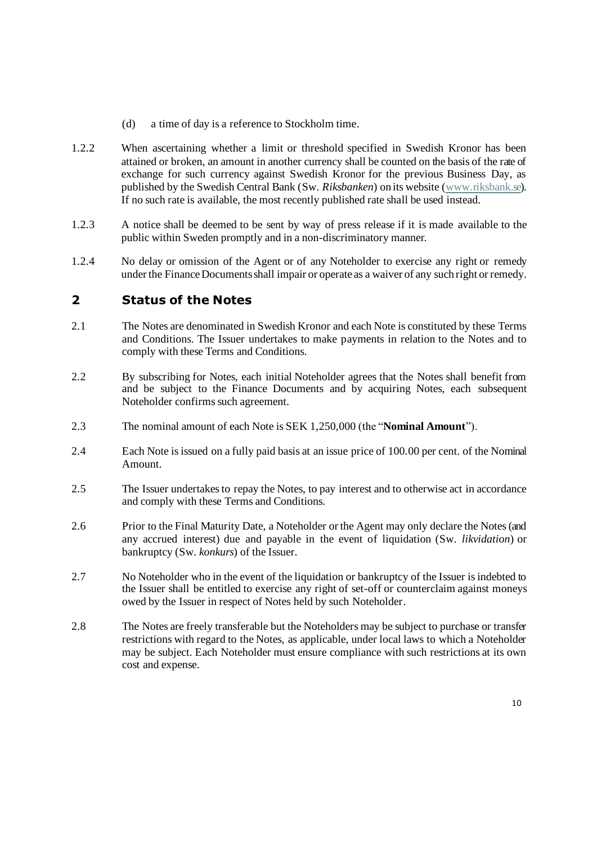- (d) a time of day is a reference to Stockholm time.
- 1.2.2 When ascertaining whether a limit or threshold specified in Swedish Kronor has been attained or broken, an amount in another currency shall be counted on the basis of the rate of exchange for such currency against Swedish Kronor for the previous Business Day, as published by the Swedish Central Bank (Sw. *Riksbanken*) on its website [\(www.riksbank.se\)](http://www.riksbank.se/). If no such rate is available, the most recently published rate shall be used instead.
- 1.2.3 A notice shall be deemed to be sent by way of press release if it is made available to the public within Sweden promptly and in a non-discriminatory manner.
- 1.2.4 No delay or omission of the Agent or of any Noteholder to exercise any right or remedy under the Finance Documents shall impair or operate as a waiver of any such right or remedy.

### **2 Status of the Notes**

- <span id="page-9-1"></span>2.1 The Notes are denominated in Swedish Kronor and each Note is constituted by these Terms and Conditions. The Issuer undertakes to make payments in relation to the Notes and to comply with these Terms and Conditions.
- 2.2 By subscribing for Notes, each initial Noteholder agrees that the Notes shall benefit from and be subject to the Finance Documents and by acquiring Notes, each subsequent Noteholder confirms such agreement.
- <span id="page-9-0"></span>2.3 The nominal amount of each Note is SEK 1,250,000 (the "**Nominal Amount**").
- 2.4 Each Note isissued on a fully paid basis at an issue price of 100.00 per cent. of the Nominal Amount.
- 2.5 The Issuer undertakes to repay the Notes, to pay interest and to otherwise act in accordance and comply with these Terms and Conditions.
- 2.6 Prior to the Final Maturity Date, a Noteholder or the Agent may only declare the Notes (and any accrued interest) due and payable in the event of liquidation (Sw. *likvidation*) or bankruptcy (Sw. *konkurs*) of the Issuer.
- 2.7 No Noteholder who in the event of the liquidation or bankruptcy of the Issuer is indebted to the Issuer shall be entitled to exercise any right of set-off or counterclaim against moneys owed by the Issuer in respect of Notes held by such Noteholder.
- 2.8 The Notes are freely transferable but the Noteholders may be subject to purchase or transfer restrictions with regard to the Notes, as applicable, under local laws to which a Noteholder may be subject. Each Noteholder must ensure compliance with such restrictions at its own cost and expense.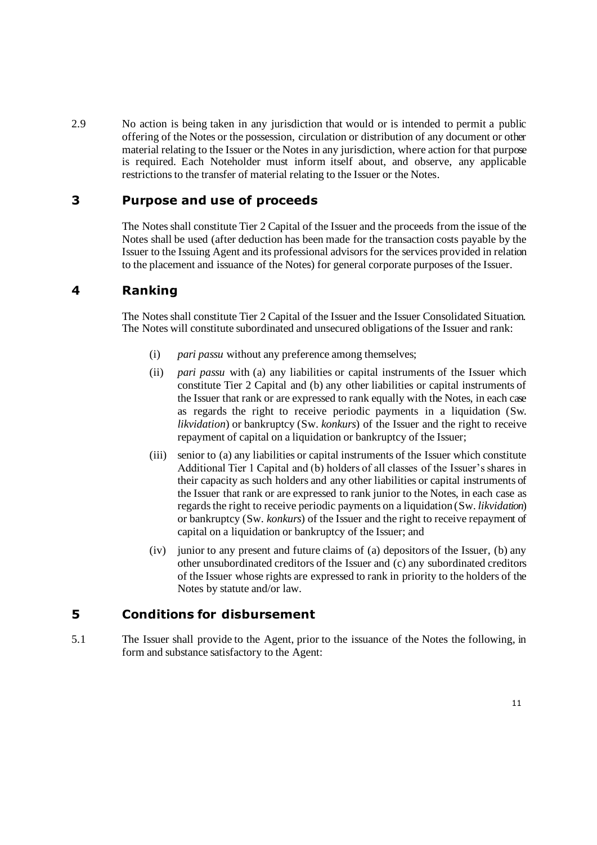2.9 No action is being taken in any jurisdiction that would or is intended to permit a public offering of the Notes or the possession, circulation or distribution of any document or other material relating to the Issuer or the Notes in any jurisdiction, where action for that purpose is required. Each Noteholder must inform itself about, and observe, any applicable restrictions to the transfer of material relating to the Issuer or the Notes.

### **3 Purpose and use of proceeds**

The Notes shall constitute Tier 2 Capital of the Issuer and the proceeds from the issue of the Notes shall be used (after deduction has been made for the transaction costs payable by the Issuer to the Issuing Agent and its professional advisors for the services provided in relation to the placement and issuance of the Notes) for general corporate purposes of the Issuer.

### **4 Ranking**

The Notes shall constitute Tier 2 Capital of the Issuer and the Issuer Consolidated Situation. The Notes will constitute subordinated and unsecured obligations of the Issuer and rank:

- (i) *pari passu* without any preference among themselves;
- (ii) *pari passu* with (a) any liabilities or capital instruments of the Issuer which constitute Tier 2 Capital and (b) any other liabilities or capital instruments of the Issuer that rank or are expressed to rank equally with the Notes, in each case as regards the right to receive periodic payments in a liquidation (Sw. *likvidation*) or bankruptcy (Sw. *konkurs*) of the Issuer and the right to receive repayment of capital on a liquidation or bankruptcy of the Issuer;
- (iii) senior to (a) any liabilities or capital instruments of the Issuer which constitute Additional Tier 1 Capital and (b) holders of all classes of the Issuer's shares in their capacity as such holders and any other liabilities or capital instruments of the Issuer that rank or are expressed to rank junior to the Notes, in each case as regards the right to receive periodic payments on a liquidation (Sw. *likvidation*) or bankruptcy (Sw. *konkurs*) of the Issuer and the right to receive repayment of capital on a liquidation or bankruptcy of the Issuer; and
- (iv) junior to any present and future claims of (a) depositors of the Issuer, (b) any other unsubordinated creditors of the Issuer and (c) any subordinated creditors of the Issuer whose rights are expressed to rank in priority to the holders of the Notes by statute and/or law.

## **5 Conditions for disbursement**

5.1 The Issuer shall provide to the Agent, prior to the issuance of the Notes the following, in form and substance satisfactory to the Agent: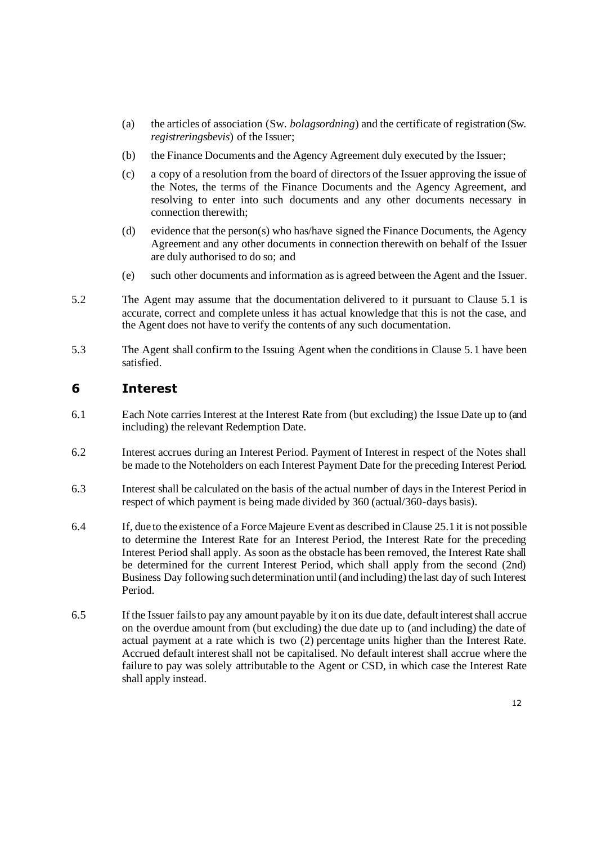- (a) the articles of association (Sw. *bolagsordning*) and the certificate of registration (Sw. *registreringsbevis*) of the Issuer;
- (b) the Finance Documents and the Agency Agreement duly executed by the Issuer;
- (c) a copy of a resolution from the board of directors of the Issuer approving the issue of the Notes, the terms of the Finance Documents and the Agency Agreement, and resolving to enter into such documents and any other documents necessary in connection therewith;
- (d) evidence that the person(s) who has/have signed the Finance Documents, the Agency Agreement and any other documents in connection therewith on behalf of the Issuer are duly authorised to do so; and
- (e) such other documents and information as is agreed between the Agent and the Issuer.
- 5.2 The Agent may assume that the documentation delivered to it pursuant to Clause 5.1 is accurate, correct and complete unless it has actual knowledge that this is not the case, and the Agent does not have to verify the contents of any such documentation.
- 5.3 The Agent shall confirm to the Issuing Agent when the conditions in Clause 5.1 have been satisfied.

### **6 Interest**

- 6.1 Each Note carries Interest at the Interest Rate from (but excluding) the Issue Date up to (and including) the relevant Redemption Date.
- 6.2 Interest accrues during an Interest Period. Payment of Interest in respect of the Notes shall be made to the Noteholders on each Interest Payment Date for the preceding Interest Period.
- 6.3 Interest shall be calculated on the basis of the actual number of days in the Interest Period in respect of which payment is being made divided by 360 (actual/360-days basis).
- 6.4 If, due to the existence of a Force Majeure Event as described in Claus[e 25.1](#page-28-0) it is not possible to determine the Interest Rate for an Interest Period, the Interest Rate for the preceding Interest Period shall apply. As soon as the obstacle has been removed, the Interest Rate shall be determined for the current Interest Period, which shall apply from the second (2nd) Business Day following such determination until (and including) the last day of such Interest Period.
- <span id="page-11-0"></span>6.5 If the Issuer fails to pay any amount payable by it on its due date, default interest shall accrue on the overdue amount from (but excluding) the due date up to (and including) the date of actual payment at a rate which is two (2) percentage units higher than the Interest Rate. Accrued default interest shall not be capitalised. No default interest shall accrue where the failure to pay was solely attributable to the Agent or CSD, in which case the Interest Rate shall apply instead.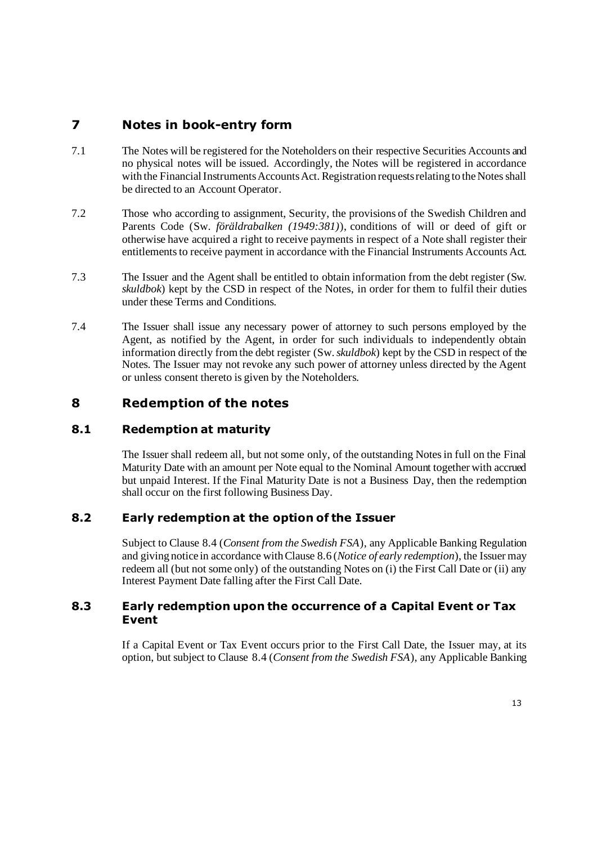## **7 Notes in book-entry form**

- 7.1 The Notes will be registered for the Noteholders on their respective Securities Accounts and no physical notes will be issued. Accordingly, the Notes will be registered in accordance with the Financial Instruments Accounts Act. Registration requests relating to the Notes shall be directed to an Account Operator.
- 7.2 Those who according to assignment, Security, the provisions of the Swedish Children and Parents Code (Sw. *föräldrabalken (1949:381)*), conditions of will or deed of gift or otherwise have acquired a right to receive payments in respect of a Note shall register their entitlements to receive payment in accordance with the Financial Instruments Accounts Act.
- 7.3 The Issuer and the Agent shall be entitled to obtain information from the debt register (Sw. *skuldbok*) kept by the CSD in respect of the Notes, in order for them to fulfil their duties under these Terms and Conditions.
- 7.4 The Issuer shall issue any necessary power of attorney to such persons employed by the Agent, as notified by the Agent, in order for such individuals to independently obtain information directly from the debt register (Sw. *skuldbok*) kept by the CSD in respect of the Notes. The Issuer may not revoke any such power of attorney unless directed by the Agent or unless consent thereto is given by the Noteholders.

## **8 Redemption of the notes**

### **8.1 Redemption at maturity**

The Issuer shall redeem all, but not some only, of the outstanding Notes in full on the Final Maturity Date with an amount per Note equal to the Nominal Amount together with accrued but unpaid Interest. If the Final Maturity Date is not a Business Day, then the redemption shall occur on the first following Business Day.

### **8.2 Early redemption at the option of the Issuer**

Subject to Clause 8.4 (*Consent from the Swedish FSA*), any Applicable Banking Regulation and giving notice in accordance with Clause 8.6 (*Notice of early redemption*), the Issuer may redeem all (but not some only) of the outstanding Notes on (i) the First Call Date or (ii) any Interest Payment Date falling after the First Call Date.

#### **8.3 Early redemption upon the occurrence of a Capital Event or Tax Event**

If a Capital Event or Tax Event occurs prior to the First Call Date, the Issuer may, at its option, but subject to Clause 8.4 (*Consent from the Swedish FSA*), any Applicable Banking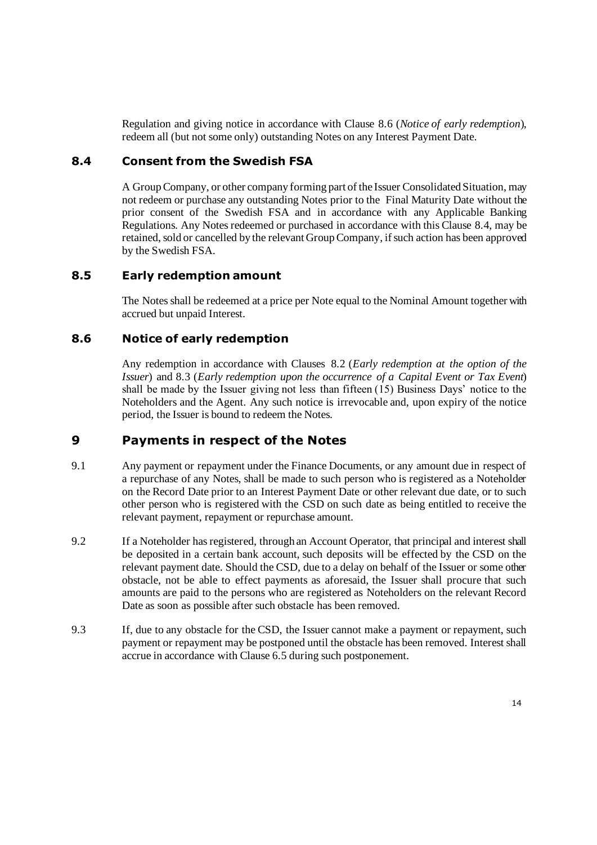Regulation and giving notice in accordance with Clause 8.6 (*Notice of early redemption*), redeem all (but not some only) outstanding Notes on any Interest Payment Date.

#### **8.4 Consent from the Swedish FSA**

A Group Company, or other company forming part of the Issuer Consolidated Situation, may not redeem or purchase any outstanding Notes prior to the Final Maturity Date without the prior consent of the Swedish FSA and in accordance with any Applicable Banking Regulations. Any Notes redeemed or purchased in accordance with this Clause 8.4, may be retained, sold or cancelled by the relevant Group Company, if such action has been approved by the Swedish FSA.

#### **8.5 Early redemption amount**

The Notes shall be redeemed at a price per Note equal to the Nominal Amount together with accrued but unpaid Interest.

#### **8.6 Notice of early redemption**

Any redemption in accordance with Clauses 8.2 (*Early redemption at the option of the Issuer*) and 8.3 (*Early redemption upon the occurrence of a Capital Event or Tax Event*) shall be made by the Issuer giving not less than fifteen (15) Business Days' notice to the Noteholders and the Agent. Any such notice is irrevocable and, upon expiry of the notice period, the Issuer is bound to redeem the Notes.

### **9 Payments in respect of the Notes**

- 9.1 Any payment or repayment under the Finance Documents, or any amount due in respect of a repurchase of any Notes, shall be made to such person who is registered as a Noteholder on the Record Date prior to an Interest Payment Date or other relevant due date, or to such other person who is registered with the CSD on such date as being entitled to receive the relevant payment, repayment or repurchase amount.
- 9.2 If a Noteholder has registered, through an Account Operator, that principal and interest shall be deposited in a certain bank account, such deposits will be effected by the CSD on the relevant payment date. Should the CSD, due to a delay on behalf of the Issuer or some other obstacle, not be able to effect payments as aforesaid, the Issuer shall procure that such amounts are paid to the persons who are registered as Noteholders on the relevant Record Date as soon as possible after such obstacle has been removed.
- 9.3 If, due to any obstacle for the CSD, the Issuer cannot make a payment or repayment, such payment or repayment may be postponed until the obstacle has been removed. Interest shall accrue in accordance with Claus[e 6.5](#page-11-0) during such postponement.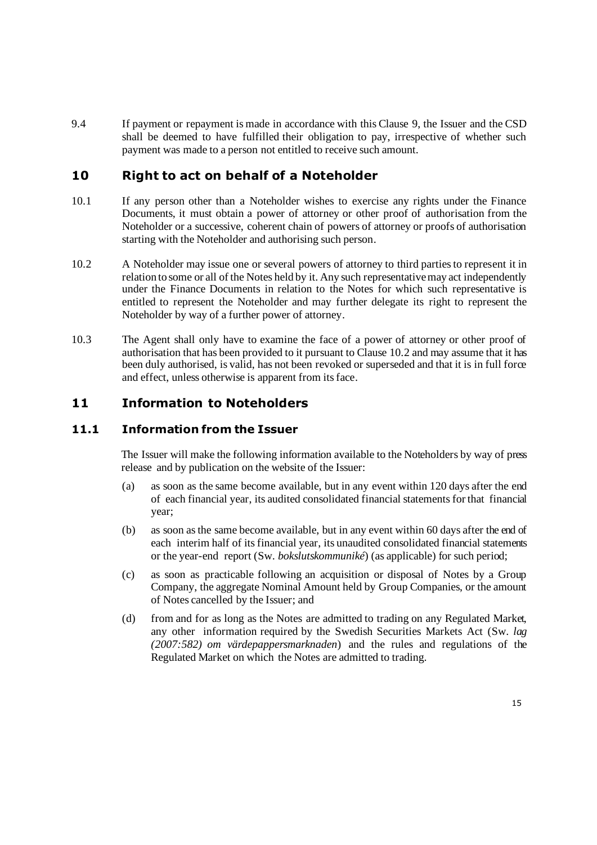9.4 If payment or repayment is made in accordance with this Clause 9, the Issuer and the CSD shall be deemed to have fulfilled their obligation to pay, irrespective of whether such payment was made to a person not entitled to receive such amount.

### **10 Right to act on behalf of a Noteholder**

- 10.1 If any person other than a Noteholder wishes to exercise any rights under the Finance Documents, it must obtain a power of attorney or other proof of authorisation from the Noteholder or a successive, coherent chain of powers of attorney or proofs of authorisation starting with the Noteholder and authorising such person.
- <span id="page-14-0"></span>10.2 A Noteholder may issue one or several powers of attorney to third parties to represent it in relation to some or all of the Notes held by it. Any such representative may act independently under the Finance Documents in relation to the Notes for which such representative is entitled to represent the Noteholder and may further delegate its right to represent the Noteholder by way of a further power of attorney.
- 10.3 The Agent shall only have to examine the face of a power of attorney or other proof of authorisation that has been provided to it pursuant to Clause [10.2](#page-14-0) and may assume that it has been duly authorised, is valid, has not been revoked or superseded and that it is in full force and effect, unless otherwise is apparent from its face.

## **11 Information to Noteholders**

#### **11.1 Information from the Issuer**

The Issuer will make the following information available to the Noteholders by way of press release and by publication on the website of the Issuer:

- (a) as soon as the same become available, but in any event within 120 days after the end of each financial year, its audited consolidated financial statementsfor that financial year;
- (b) as soon asthe same become available, but in any event within 60 days after the end of each interim half of itsfinancial year, its unaudited consolidated financial statements or the year-end report (Sw. *bokslutskommuniké*) (as applicable) for such period;
- (c) as soon as practicable following an acquisition or disposal of Notes by a Group Company, the aggregate Nominal Amount held by Group Companies, or the amount of Notes cancelled by the Issuer; and
- (d) from and for as long as the Notes are admitted to trading on any Regulated Market, any other information required by the Swedish Securities Markets Act (Sw. *lag (2007:582) om värdepappersmarknaden*) and the rules and regulations of the Regulated Market on which the Notes are admitted to trading.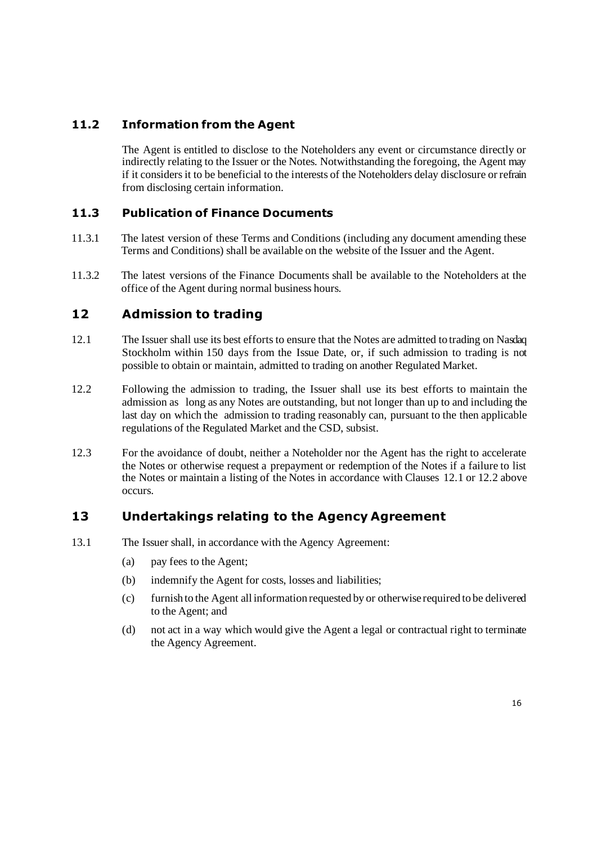### **11.2 Information from the Agent**

The Agent is entitled to disclose to the Noteholders any event or circumstance directly or indirectly relating to the Issuer or the Notes. Notwithstanding the foregoing, the Agent may if it considers it to be beneficial to the interests of the Noteholders delay disclosure or refrain from disclosing certain information.

### <span id="page-15-2"></span>**11.3 Publication of Finance Documents**

- 11.3.1 The latest version of these Terms and Conditions (including any document amending these Terms and Conditions) shall be available on the website of the Issuer and the Agent.
- 11.3.2 The latest versions of the Finance Documents shall be available to the Noteholders at the office of the Agent during normal business hours.

### **12 Admission to trading**

- <span id="page-15-0"></span>12.1 The Issuer shall use its best efforts to ensure that the Notes are admitted to trading on Nasdaq Stockholm within 150 days from the Issue Date, or, if such admission to trading is not possible to obtain or maintain, admitted to trading on another Regulated Market.
- <span id="page-15-1"></span>12.2 Following the admission to trading, the Issuer shall use its best efforts to maintain the admission as long as any Notes are outstanding, but not longer than up to and including the last day on which the admission to trading reasonably can, pursuant to the then applicable regulations of the Regulated Market and the CSD, subsist.
- 12.3 For the avoidance of doubt, neither a Noteholder nor the Agent has the right to accelerate the Notes or otherwise request a prepayment or redemption of the Notes if a failure to list the Notes or maintain a listing of the Notes in accordance with Clauses [12.1](#page-15-0) or [12.2](#page-15-1) above occurs.

### **13 Undertakings relating to the Agency Agreement**

- 13.1 The Issuer shall, in accordance with the Agency Agreement:
	- (a) pay fees to the Agent;
	- (b) indemnify the Agent for costs, losses and liabilities;
	- (c) furnish to the Agent all information requested by or otherwise required to be delivered to the Agent; and
	- (d) not act in a way which would give the Agent a legal or contractual right to terminate the Agency Agreement.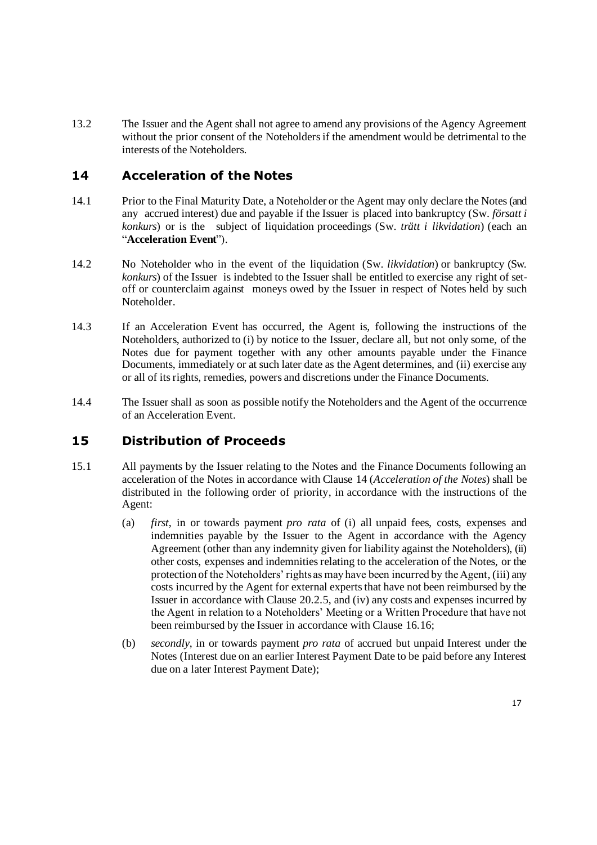13.2 The Issuer and the Agent shall not agree to amend any provisions of the Agency Agreement without the prior consent of the Noteholders if the amendment would be detrimental to the interests of the Noteholders.

## **14 Acceleration of the Notes**

- 14.1 Prior to the Final Maturity Date, a Noteholder or the Agent may only declare the Notes(and any accrued interest) due and payable if the Issuer is placed into bankruptcy (Sw. *försatt i konkurs*) or is the subject of liquidation proceedings (Sw. *trätt i likvidation*) (each an "**Acceleration Event**").
- 14.2 No Noteholder who in the event of the liquidation (Sw. *likvidation*) or bankruptcy (Sw. *konkurs*) of the Issuer is indebted to the Issuer shall be entitled to exercise any right of setoff or counterclaim against moneys owed by the Issuer in respect of Notes held by such Noteholder.
- 14.3 If an Acceleration Event has occurred, the Agent is, following the instructions of the Noteholders, authorized to (i) by notice to the Issuer, declare all, but not only some, of the Notes due for payment together with any other amounts payable under the Finance Documents, immediately or at such later date as the Agent determines, and (ii) exercise any or all of its rights, remedies, powers and discretions under the Finance Documents.
- 14.4 The Issuer shall as soon as possible notify the Noteholders and the Agent of the occurrence of an Acceleration Event.

## <span id="page-16-1"></span><span id="page-16-0"></span>**15 Distribution of Proceeds**

- <span id="page-16-2"></span>15.1 All payments by the Issuer relating to the Notes and the Finance Documents following an acceleration of the Notes in accordance with Clause 14 (*Acceleration of the Notes*) shall be distributed in the following order of priority, in accordance with the instructions of the Agent:
	- (a) *first*, in or towards payment *pro rata* of (i) all unpaid fees, costs, expenses and indemnities payable by the Issuer to the Agent in accordance with the Agency Agreement (other than any indemnity given for liability against the Noteholders), (ii) other costs, expenses and indemnities relating to the acceleration of the Notes, or the protection of the Noteholders' rights as may have been incurred by the Agent, (iii) any costs incurred by the Agent for external experts that have not been reimbursed by the Issuer in accordance with Clause [20.2.5,](#page-23-0) and (iv) any costs and expenses incurred by the Agent in relation to a Noteholders' Meeting or a Written Procedure that have not been reimbursed by the Issuer in accordance with Clause [16.16](#page-20-0);
	- (b) *secondly*, in or towards payment *pro rata* of accrued but unpaid Interest under the Notes (Interest due on an earlier Interest Payment Date to be paid before any Interest due on a later Interest Payment Date);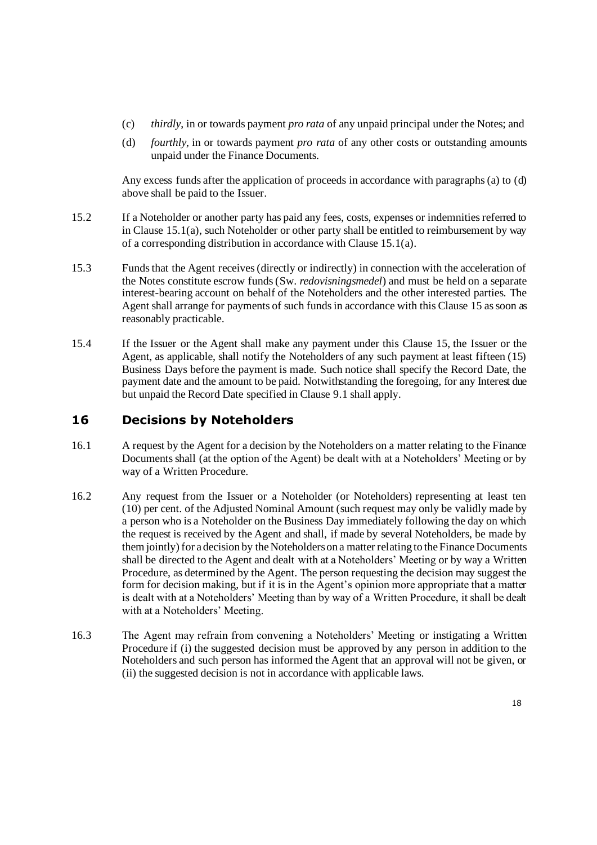- (c) *thirdly*, in or towards payment *pro rata* of any unpaid principal under the Notes; and
- <span id="page-17-0"></span>(d) *fourthly*, in or towards payment *pro rata* of any other costs or outstanding amounts unpaid under the Finance Documents.

Any excess funds after the application of proceeds in accordance with paragraphs (a) t[o \(d\)](#page-17-0) above shall be paid to the Issuer.

- 15.2 If a Noteholder or another party has paid any fees, costs, expenses or indemnities referred to in Clause  $15.1(a)$  $15.1(a)$ , such Noteholder or other party shall be entitled to reimbursement by way of a corresponding distribution in accordance with Clause [15.1](#page-16-1)[\(a\)](#page-16-2).
- 15.3 Funds that the Agent receives (directly or indirectly) in connection with the acceleration of the Notes constitute escrow funds (Sw. *redovisningsmedel*) and must be held on a separate interest-bearing account on behalf of the Noteholders and the other interested parties. The Agent shall arrange for payments of such funds in accordance with this Clause [15](#page-16-0) as soon as reasonably practicable.
- 15.4 If the Issuer or the Agent shall make any payment under this Clause [15,](#page-16-0) the Issuer or the Agent, as applicable, shall notify the Noteholders of any such payment at least fifteen (15) Business Days before the payment is made. Such notice shall specify the Record Date, the payment date and the amount to be paid. Notwithstanding the foregoing, for any Interest due but unpaid the Record Date specified in Clause 9.1 shall apply.

## <span id="page-17-1"></span>**16 Decisions by Noteholders**

- 16.1 A request by the Agent for a decision by the Noteholders on a matter relating to the Finance Documents shall (at the option of the Agent) be dealt with at a Noteholders' Meeting or by way of a Written Procedure.
- 16.2 Any request from the Issuer or a Noteholder (or Noteholders) representing at least ten (10) per cent. of the Adjusted Nominal Amount (such request may only be validly made by a person who is a Noteholder on the Business Day immediately following the day on which the request is received by the Agent and shall, if made by several Noteholders, be made by them jointly) for a decision by the Noteholders on a matter relating to the Finance Documents shall be directed to the Agent and dealt with at a Noteholders' Meeting or by way a Written Procedure, as determined by the Agent. The person requesting the decision may suggest the form for decision making, but if it is in the Agent's opinion more appropriate that a matter is dealt with at a Noteholders' Meeting than by way of a Written Procedure, it shall be dealt with at a Noteholders' Meeting.
- 16.3 The Agent may refrain from convening a Noteholders' Meeting or instigating a Written Procedure if (i) the suggested decision must be approved by any person in addition to the Noteholders and such person has informed the Agent that an approval will not be given, or (ii) the suggested decision is not in accordance with applicable laws.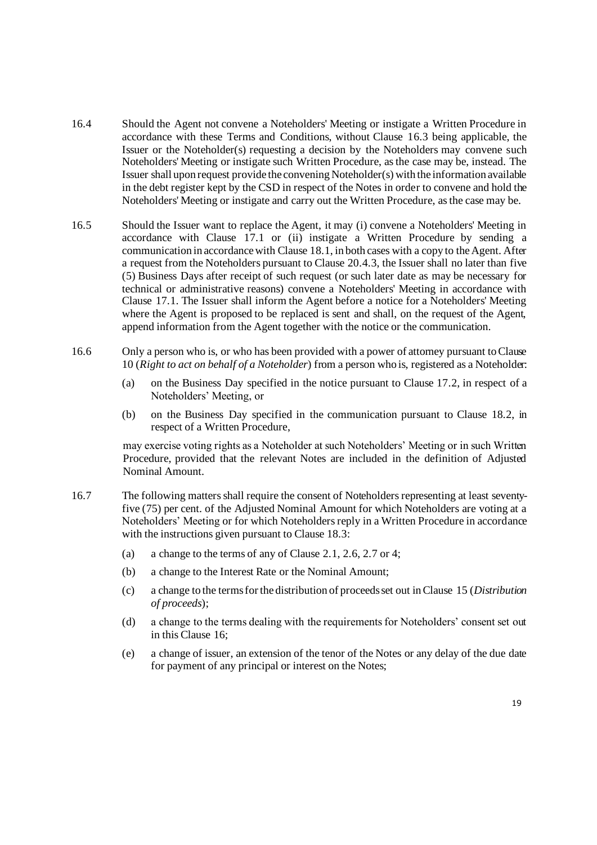- 16.4 Should the Agent not convene a Noteholders' Meeting or instigate a Written Procedure in accordance with these Terms and Conditions, without Clause 16.3 being applicable, the Issuer or the Noteholder(s) requesting a decision by the Noteholders may convene such Noteholders' Meeting or instigate such Written Procedure, as the case may be, instead. The Issuer shall upon request provide the convening Noteholder(s) with the information available in the debt register kept by the CSD in respect of the Notes in order to convene and hold the Noteholders' Meeting or instigate and carry out the Written Procedure, as the case may be.
- 16.5 Should the Issuer want to replace the Agent, it may (i) convene a Noteholders' Meeting in accordance with Clause 17.1 or (ii) instigate a Written Procedure by sending a communication in accordance with Clause 18.1, in both cases with a copy to the Agent. After a request from the Noteholders pursuant to Clause 20.4.3, the Issuer shall no later than five (5) Business Days after receipt of such request (or such later date as may be necessary for technical or administrative reasons) convene a Noteholders' Meeting in accordance with Clause 17.1. The Issuer shall inform the Agent before a notice for a Noteholders' Meeting where the Agent is proposed to be replaced is sent and shall, on the request of the Agent, append information from the Agent together with the notice or the communication.
- 16.6 Only a person who is, or who has been provided with a power of attorney pursuant to Clause 10 (*Right to act on behalf of a Noteholder*) from a person who is, registered as a Noteholder:
	- (a) on the Business Day specified in the notice pursuant to Clause 17.2, in respect of a Noteholders' Meeting, or
	- (b) on the Business Day specified in the communication pursuant to Clause 18.2, in respect of a Written Procedure,

may exercise voting rights as a Noteholder at such Noteholders' Meeting or in such Written Procedure, provided that the relevant Notes are included in the definition of Adjusted Nominal Amount.

- <span id="page-18-0"></span>16.7 The following matters shall require the consent of Noteholders representing at least seventyfive (75) per cent. of the Adjusted Nominal Amount for which Noteholders are voting at a Noteholders' Meeting or for which Noteholders reply in a Written Procedure in accordance with the instructions given pursuant to Clause 18.3:
	- (a) a change to the terms of any of Clause [2.1,](#page-9-1) 2.6, 2.7 or 4;
	- (b) a change to the Interest Rate or the Nominal Amount;
	- (c) a change to the terms for the distribution of proceeds set out in Clause [15](#page-16-0) (*Distribution of proceeds*);
	- (d) a change to the terms dealing with the requirements for Noteholders' consent set out in this Clause [16;](#page-17-1)
	- (e) a change of issuer, an extension of the tenor of the Notes or any delay of the due date for payment of any principal or interest on the Notes;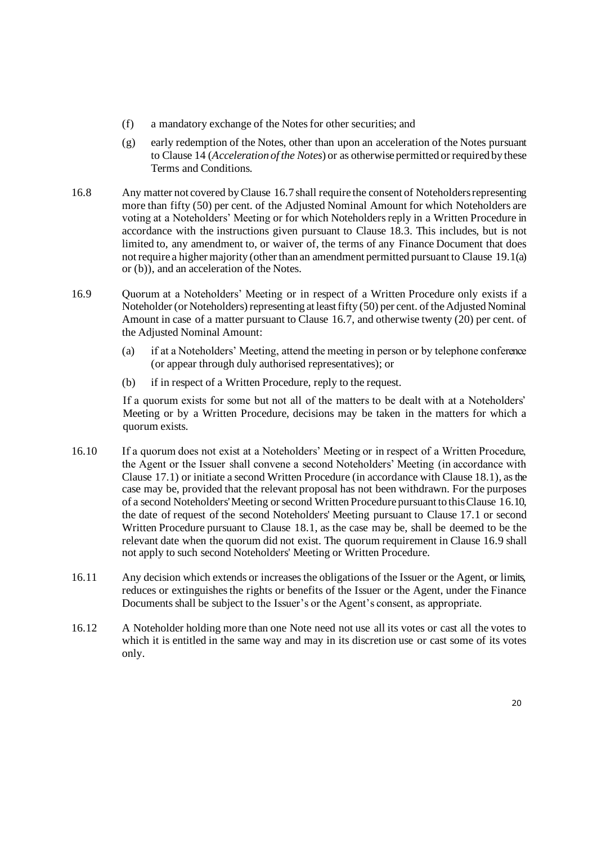- (f) a mandatory exchange of the Notes for other securities; and
- (g) early redemption of the Notes, other than upon an acceleration of the Notes pursuant to Clause 14 (*Acceleration of the Notes*) or as otherwise permitted or required by these Terms and Conditions.
- <span id="page-19-0"></span>16.8 Any matter not covered by Clause [16.7](#page-18-0) shall require the consent of Noteholders representing more than fifty (50) per cent. of the Adjusted Nominal Amount for which Noteholders are voting at a Noteholders' Meeting or for which Noteholders reply in a Written Procedure in accordance with the instructions given pursuant to Clause 18.3. This includes, but is not limited to, any amendment to, or waiver of, the terms of any Finance Document that does not require a higher majority (other than an amendment permitted pursuant to Clause [19.1](#page-21-1)[\(a\)](#page-21-2) o[r \(b\)\)](#page-22-0), and an acceleration of the Notes.
- 16.9 Quorum at a Noteholders' Meeting or in respect of a Written Procedure only exists if a Noteholder (or Noteholders) representing at least fifty (50) per cent. of the Adjusted Nominal Amount in case of a matter pursuant to Clause [16.7,](#page-18-0) and otherwise twenty (20) per cent. of the Adjusted Nominal Amount:
	- (a) if at a Noteholders' Meeting, attend the meeting in person or by telephone conference (or appear through duly authorised representatives); or
	- (b) if in respect of a Written Procedure, reply to the request.

If a quorum exists for some but not all of the matters to be dealt with at a Noteholders' Meeting or by a Written Procedure, decisions may be taken in the matters for which a quorum exists.

- 16.10 If a quorum does not exist at a Noteholders' Meeting or in respect of a Written Procedure, the Agent or the Issuer shall convene a second Noteholders' Meeting (in accordance with Clause 17.1) or initiate a second Written Procedure (in accordance with Clause 18.1), as the case may be, provided that the relevant proposal has not been withdrawn. For the purposes of a second Noteholders' Meeting or second Written Procedure pursuant to this Clause 16.10, the date of request of the second Noteholders' Meeting pursuant to Clause 17.1 or second Written Procedure pursuant to Clause 18.1, as the case may be, shall be deemed to be the relevant date when the quorum did not exist. The quorum requirement in Clause 16.9 shall not apply to such second Noteholders' Meeting or Written Procedure.
- 16.11 Any decision which extends or increases the obligations of the Issuer or the Agent, or limits, reduces or extinguishes the rights or benefits of the Issuer or the Agent, under the Finance Documents shall be subject to the Issuer's or the Agent's consent, as appropriate.
- 16.12 A Noteholder holding more than one Note need not use all its votes or cast all the votes to which it is entitled in the same way and may in its discretion use or cast some of its votes only.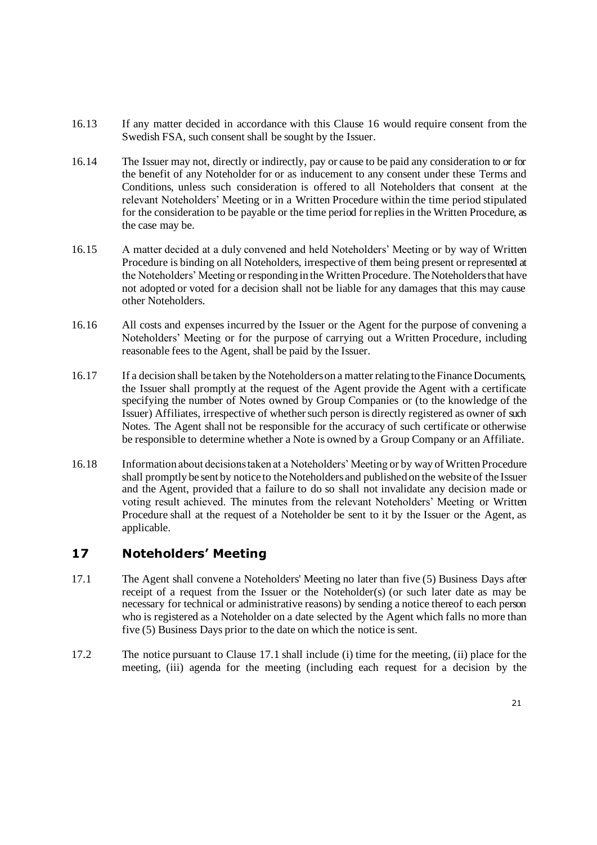- 16.13 If any matter decided in accordance with this Clause 16 would require consent from the Swedish FSA, such consent shall be sought by the Issuer.
- 16.14 The Issuer may not, directly or indirectly, pay or cause to be paid any consideration to or for the benefit of any Noteholder for or as inducement to any consent under these Terms and Conditions, unless such consideration is offered to all Noteholders that consent at the relevant Noteholders' Meeting or in a Written Procedure within the time period stipulated for the consideration to be payable or the time period for replies in the Written Procedure, as the case may be.
- 16.15 A matter decided at a duly convened and held Noteholders' Meeting or by way of Written Procedure is binding on all Noteholders, irrespective of them being present or represented at the Noteholders' Meeting or responding in the Written Procedure. The Noteholders that have not adopted or voted for a decision shall not be liable for any damages that this may cause other Noteholders.
- <span id="page-20-0"></span>16.16 All costs and expenses incurred by the Issuer or the Agent for the purpose of convening a Noteholders' Meeting or for the purpose of carrying out a Written Procedure, including reasonable fees to the Agent, shall be paid by the Issuer.
- 16.17 If a decision shall be taken by the Noteholders on a matter relating to the Finance Documents, the Issuer shall promptly at the request of the Agent provide the Agent with a certificate specifying the number of Notes owned by Group Companies or (to the knowledge of the Issuer) Affiliates, irrespective of whether such person is directly registered as owner of such Notes. The Agent shall not be responsible for the accuracy of such certificate or otherwise be responsible to determine whether a Note is owned by a Group Company or an Affiliate.
- 16.18 Information about decisions taken at a Noteholders' Meeting or by way of Written Procedure shall promptly be sent by notice to the Noteholders and published on the website of the Issuer and the Agent, provided that a failure to do so shall not invalidate any decision made or voting result achieved. The minutes from the relevant Noteholders' Meeting or Written Procedure shall at the request of a Noteholder be sent to it by the Issuer or the Agent, as applicable.

## **17 Noteholders' Meeting**

- 17.1 The Agent shall convene a Noteholders' Meeting no later than five (5) Business Days after receipt of a request from the Issuer or the Noteholder(s) (or such later date as may be necessary for technical or administrative reasons) by sending a notice thereof to each person who is registered as a Noteholder on a date selected by the Agent which falls no more than five (5) Business Days prior to the date on which the notice is sent.
- 17.2 The notice pursuant to Clause 17.1 shall include (i) time for the meeting, (ii) place for the meeting, (iii) agenda for the meeting (including each request for a decision by the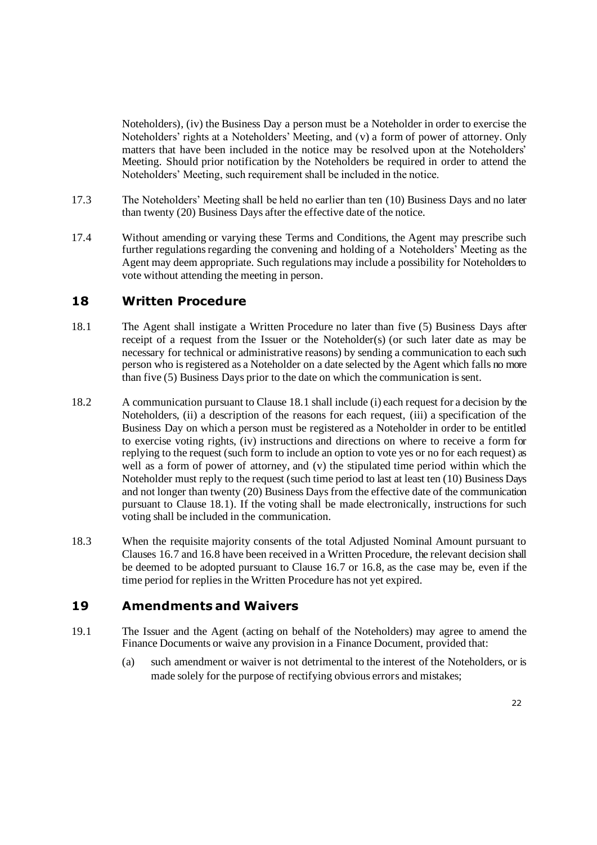Noteholders), (iv) the Business Day a person must be a Noteholder in order to exercise the Noteholders' rights at a Noteholders' Meeting, and (v) a form of power of attorney. Only matters that have been included in the notice may be resolved upon at the Noteholders' Meeting. Should prior notification by the Noteholders be required in order to attend the Noteholders' Meeting, such requirement shall be included in the notice.

- 17.3 The Noteholders' Meeting shall be held no earlier than ten (10) Business Days and no later than twenty (20) Business Days after the effective date of the notice.
- 17.4 Without amending or varying these Terms and Conditions, the Agent may prescribe such further regulations regarding the convening and holding of a Noteholders' Meeting as the Agent may deem appropriate. Such regulations may include a possibility for Noteholders to vote without attending the meeting in person.

### <span id="page-21-3"></span><span id="page-21-0"></span>**18 Written Procedure**

- 18.1 The Agent shall instigate a Written Procedure no later than five (5) Business Days after receipt of a request from the Issuer or the Noteholder(s) (or such later date as may be necessary for technical or administrative reasons) by sending a communication to each such person who is registered as a Noteholder on a date selected by the Agent which falls no more than five (5) Business Days prior to the date on which the communication is sent.
- 18.2 A communication pursuant to Clause [18.1](#page-21-3) shall include (i) each request for a decision by the Noteholders, (ii) a description of the reasons for each request, (iii) a specification of the Business Day on which a person must be registered as a Noteholder in order to be entitled to exercise voting rights, (iv) instructions and directions on where to receive a form for replying to the request (such form to include an option to vote yes or no for each request) as well as a form of power of attorney, and (v) the stipulated time period within which the Noteholder must reply to the request (such time period to last at least ten (10) Business Days and not longer than twenty (20) Business Days from the effective date of the communication pursuant to Clause [18.1\)](#page-21-3). If the voting shall be made electronically, instructions for such voting shall be included in the communication.
- 18.3 When the requisite majority consents of the total Adjusted Nominal Amount pursuant to Clauses [16.7](#page-18-0) an[d 16.8](#page-19-0) have been received in a Written Procedure, the relevant decision shall be deemed to be adopted pursuant to Clause [16.7](#page-18-0) or [16.8,](#page-19-0) as the case may be, even if the time period for replies in the Written Procedure has not yet expired.

### <span id="page-21-1"></span>**19 Amendments and Waivers**

- <span id="page-21-2"></span>19.1 The Issuer and the Agent (acting on behalf of the Noteholders) may agree to amend the Finance Documents or waive any provision in a Finance Document, provided that:
	- (a) such amendment or waiver is not detrimental to the interest of the Noteholders, or is made solely for the purpose of rectifying obvious errors and mistakes;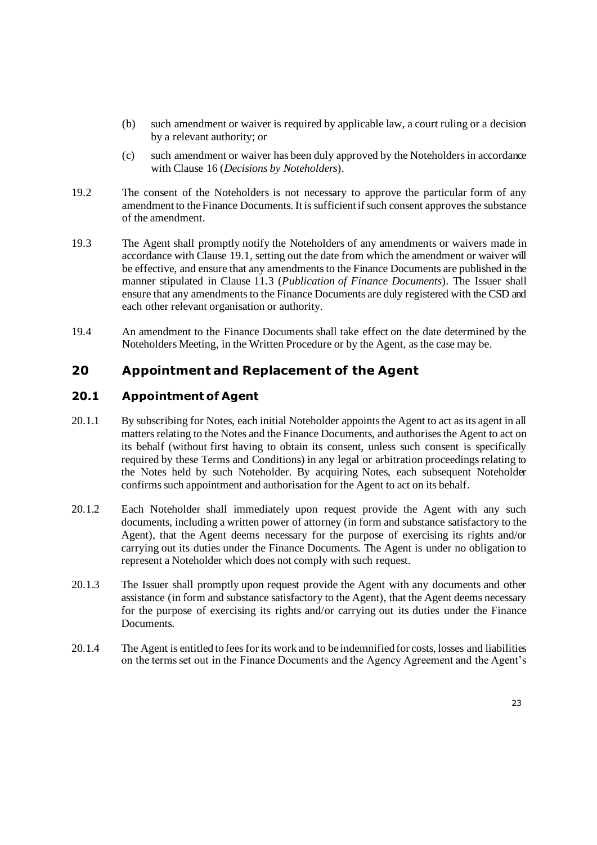- <span id="page-22-0"></span>(b) such amendment or waiver is required by applicable law, a court ruling or a decision by a relevant authority; or
- (c) such amendment or waiver has been duly approved by the Noteholders in accordance with Clause 16 (*Decisions by Noteholders*).
- 19.2 The consent of the Noteholders is not necessary to approve the particular form of any amendment to the Finance Documents. It is sufficient if such consent approves the substance of the amendment.
- 19.3 The Agent shall promptly notify the Noteholders of any amendments or waivers made in accordance with Clause [19.1,](#page-21-1) setting out the date from which the amendment or waiver will be effective, and ensure that any amendments to the Finance Documents are published in the manner stipulated in Clause [11.3](#page-15-2) (*Publication of Finance Documents*). The Issuer shall ensure that any amendments to the Finance Documents are duly registered with the CSD and each other relevant organisation or authority.
- 19.4 An amendment to the Finance Documents shall take effect on the date determined by the Noteholders Meeting, in the Written Procedure or by the Agent, as the case may be.

### **20 Appointment and Replacement of the Agent**

### **20.1 Appointment of Agent**

- 20.1.1 By subscribing for Notes, each initial Noteholder appoints the Agent to act as its agent in all matters relating to the Notes and the Finance Documents, and authorises the Agent to act on its behalf (without first having to obtain its consent, unless such consent is specifically required by these Terms and Conditions) in any legal or arbitration proceedings relating to the Notes held by such Noteholder. By acquiring Notes, each subsequent Noteholder confirms such appointment and authorisation for the Agent to act on its behalf.
- 20.1.2 Each Noteholder shall immediately upon request provide the Agent with any such documents, including a written power of attorney (in form and substance satisfactory to the Agent), that the Agent deems necessary for the purpose of exercising its rights and/or carrying out its duties under the Finance Documents. The Agent is under no obligation to represent a Noteholder which does not comply with such request.
- 20.1.3 The Issuer shall promptly upon request provide the Agent with any documents and other assistance (in form and substance satisfactory to the Agent), that the Agent deems necessary for the purpose of exercising its rights and/or carrying out its duties under the Finance **Documents**
- 20.1.4 The Agent is entitled to fees for its work and to be indemnified for costs, losses and liabilities on the terms set out in the Finance Documents and the Agency Agreement and the Agent's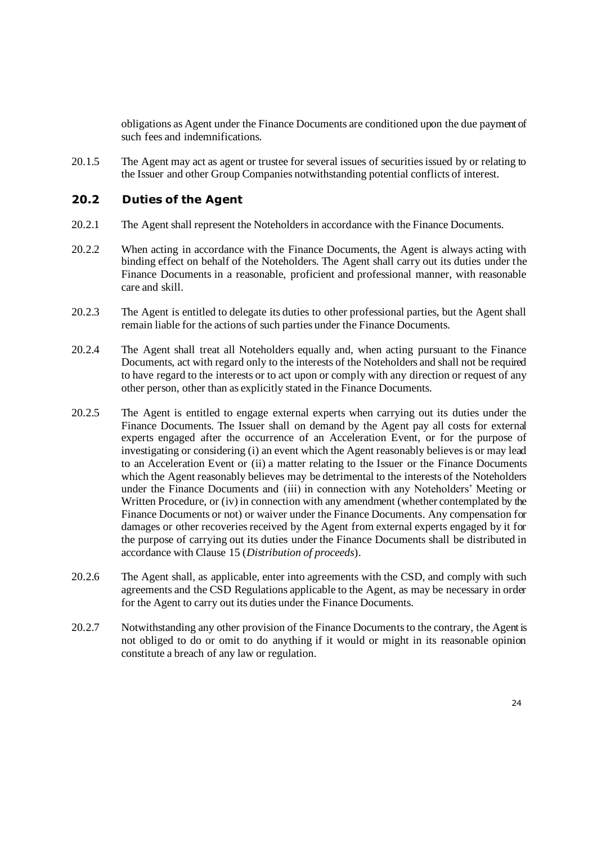obligations as Agent under the Finance Documents are conditioned upon the due payment of such fees and indemnifications.

20.1.5 The Agent may act as agent or trustee for several issues of securities issued by or relating to the Issuer and other Group Companies notwithstanding potential conflicts of interest.

#### **20.2 Duties of the Agent**

- 20.2.1 The Agent shall represent the Noteholders in accordance with the Finance Documents.
- 20.2.2 When acting in accordance with the Finance Documents, the Agent is always acting with binding effect on behalf of the Noteholders. The Agent shall carry out its duties under the Finance Documents in a reasonable, proficient and professional manner, with reasonable care and skill.
- 20.2.3 The Agent is entitled to delegate its duties to other professional parties, but the Agent shall remain liable for the actions of such parties under the Finance Documents.
- 20.2.4 The Agent shall treat all Noteholders equally and, when acting pursuant to the Finance Documents, act with regard only to the interests of the Noteholders and shall not be required to have regard to the interests or to act upon or comply with any direction or request of any other person, other than as explicitly stated in the Finance Documents.
- <span id="page-23-0"></span>20.2.5 The Agent is entitled to engage external experts when carrying out its duties under the Finance Documents. The Issuer shall on demand by the Agent pay all costs for external experts engaged after the occurrence of an Acceleration Event, or for the purpose of investigating or considering (i) an event which the Agent reasonably believes is or may lead to an Acceleration Event or (ii) a matter relating to the Issuer or the Finance Documents which the Agent reasonably believes may be detrimental to the interests of the Noteholders under the Finance Documents and (iii) in connection with any Noteholders' Meeting or Written Procedure, or (iv) in connection with any amendment (whether contemplated by the Finance Documents or not) or waiver under the Finance Documents. Any compensation for damages or other recoveries received by the Agent from external experts engaged by it for the purpose of carrying out its duties under the Finance Documents shall be distributed in accordance with Clause [15](#page-16-0) (*Distribution of proceeds*).
- 20.2.6 The Agent shall, as applicable, enter into agreements with the CSD, and comply with such agreements and the CSD Regulations applicable to the Agent, as may be necessary in order for the Agent to carry out its duties under the Finance Documents.
- 20.2.7 Notwithstanding any other provision of the Finance Documents to the contrary, the Agent is not obliged to do or omit to do anything if it would or might in its reasonable opinion constitute a breach of any law or regulation.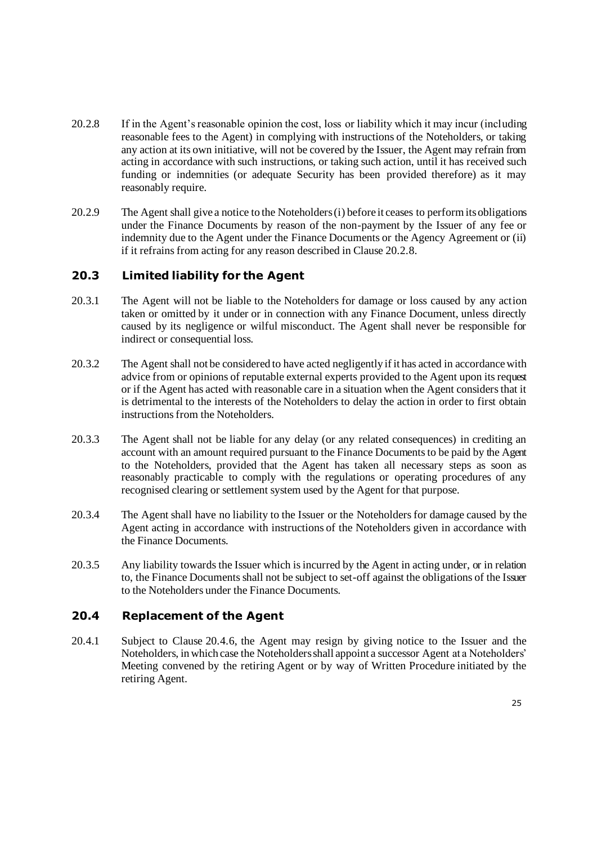- <span id="page-24-0"></span>20.2.8 If in the Agent's reasonable opinion the cost, loss or liability which it may incur (including reasonable fees to the Agent) in complying with instructions of the Noteholders, or taking any action at its own initiative, will not be covered by the Issuer, the Agent may refrain from acting in accordance with such instructions, or taking such action, until it has received such funding or indemnities (or adequate Security has been provided therefore) as it may reasonably require.
- 20.2.9 The Agent shall give a notice to the Noteholders (i) before it ceases to perform its obligations under the Finance Documents by reason of the non-payment by the Issuer of any fee or indemnity due to the Agent under the Finance Documents or the Agency Agreement or (ii) if it refrains from acting for any reason described in Clause [20.2.8](#page-24-0).

#### **20.3 Limited liability for the Agent**

- 20.3.1 The Agent will not be liable to the Noteholders for damage or loss caused by any action taken or omitted by it under or in connection with any Finance Document, unless directly caused by its negligence or wilful misconduct. The Agent shall never be responsible for indirect or consequential loss.
- 20.3.2 The Agent shall not be considered to have acted negligently if it has acted in accordance with advice from or opinions of reputable external experts provided to the Agent upon its request or if the Agent has acted with reasonable care in a situation when the Agent considers that it is detrimental to the interests of the Noteholders to delay the action in order to first obtain instructions from the Noteholders.
- 20.3.3 The Agent shall not be liable for any delay (or any related consequences) in crediting an account with an amount required pursuant to the Finance Documents to be paid by the Agent to the Noteholders, provided that the Agent has taken all necessary steps as soon as reasonably practicable to comply with the regulations or operating procedures of any recognised clearing or settlement system used by the Agent for that purpose.
- 20.3.4 The Agent shall have no liability to the Issuer or the Noteholders for damage caused by the Agent acting in accordance with instructions of the Noteholders given in accordance with the Finance Documents.
- 20.3.5 Any liability towards the Issuer which is incurred by the Agent in acting under, or in relation to, the Finance Documents shall not be subject to set-off against the obligations of the Issuer to the Noteholders under the Finance Documents.

#### <span id="page-24-1"></span>**20.4 Replacement of the Agent**

20.4.1 Subject to Clause [20.4.6,](#page-25-0) the Agent may resign by giving notice to the Issuer and the Noteholders, in which case the Noteholders shall appoint a successor Agent at a Noteholders' Meeting convened by the retiring Agent or by way of Written Procedure initiated by the retiring Agent.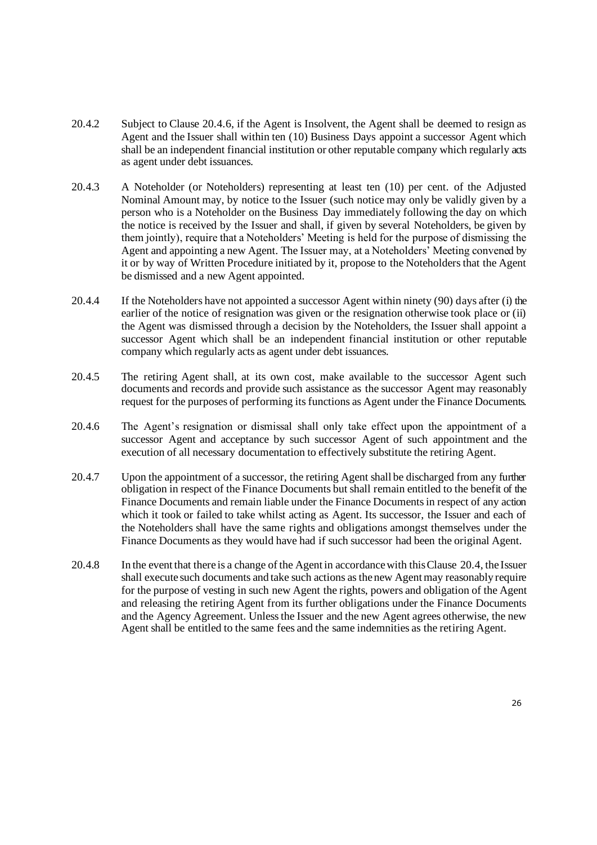- 20.4.2 Subject to Clause 20.4.6, if the Agent is Insolvent, the Agent shall be deemed to resign as Agent and the Iss[uer shal](#page-25-0)l within ten (10) Business Days appoint a successor Agent which shall be an independent financial institution or other reputable company which regularly acts as agent under debt issuances.
- 20.4.3 A Noteholder (or Noteholders) representing at least ten (10) per cent. of the Adjusted Nominal Amount may, by notice to the Issuer (such notice may only be validly given by a person who is a Noteholder on the Business Day immediately following the day on which the notice is received by the Issuer and shall, if given by several Noteholders, be given by them jointly), require that a Noteholders' Meeting is held for the purpose of dismissing the Agent and appointing a new Agent. The Issuer may, at a Noteholders' Meeting convened by it or by way of Written Procedure initiated by it, propose to the Noteholders that the Agent be dismissed and a new Agent appointed.
- 20.4.4 If the Noteholders have not appointed a successor Agent within ninety (90) days after (i) the earlier of the notice of resignation was given or the resignation otherwise took place or (ii) the Agent was dismissed through a decision by the Noteholders, the Issuer shall appoint a successor Agent which shall be an independent financial institution or other reputable company which regularly acts as agent under debt issuances.
- 20.4.5 The retiring Agent shall, at its own cost, make available to the successor Agent such documents and records and provide such assistance as the successor Agent may reasonably request for the purposes of performing its functions as Agent under the Finance Documents.
- <span id="page-25-0"></span>20.4.6 The Agent's resignation or dismissal shall only take effect upon the appointment of a successor Agent and acceptance by such successor Agent of such appointment and the execution of all necessary documentation to effectively substitute the retiring Agent.
- 20.4.7 Upon the appointment of a successor, the retiring Agent shall be discharged from any further obligation in respect of the Finance Documents but shall remain entitled to the benefit of the Finance Documents and remain liable under the Finance Documents in respect of any action which it took or failed to take whilst acting as Agent. Its successor, the Issuer and each of the Noteholders shall have the same rights and obligations amongst themselves under the Finance Documents as they would have had if such successor had been the original Agent.
- 20.4.8 In the event that there is a change of the Agent in accordance with this Clause [20.4,](#page-24-1) the Issuer shall execute such documents and take such actions as the new Agent may reasonably require for the purpose of vesting in such new Agent the rights, powers and obligation of the Agent and releasing the retiring Agent from its further obligations under the Finance Documents and the Agency Agreement. Unless the Issuer and the new Agent agrees otherwise, the new Agent shall be entitled to the same fees and the same indemnities as the retiring Agent.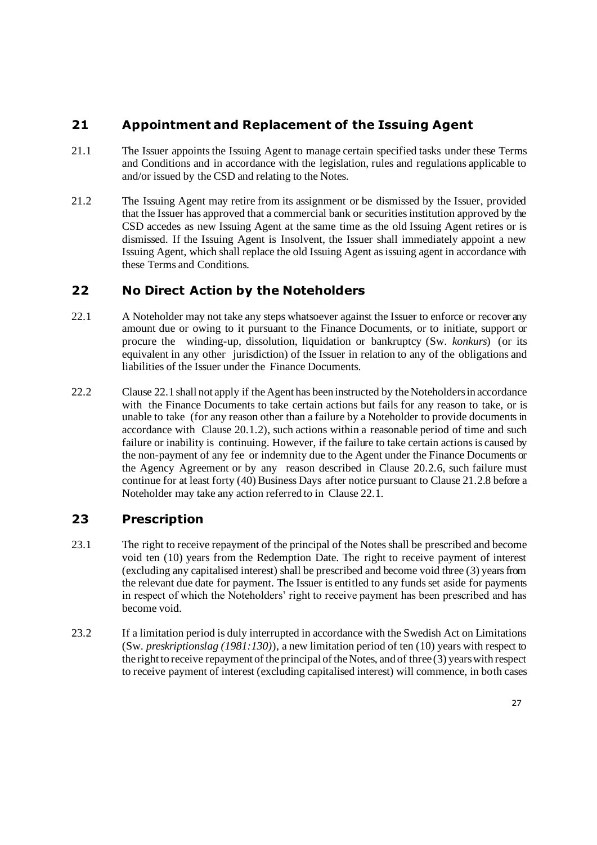## **21 Appointment and Replacement of the Issuing Agent**

- 21.1 The Issuer appoints the Issuing Agent to manage certain specified tasks under these Terms and Conditions and in accordance with the legislation, rules and regulations applicable to and/or issued by the CSD and relating to the Notes.
- 21.2 The Issuing Agent may retire from its assignment or be dismissed by the Issuer, provided that the Issuer has approved that a commercial bank or securities institution approved by the CSD accedes as new Issuing Agent at the same time as the old Issuing Agent retires or is dismissed. If the Issuing Agent is Insolvent, the Issuer shall immediately appoint a new Issuing Agent, which shall replace the old Issuing Agent as issuing agent in accordance with these Terms and Conditions.

## <span id="page-26-0"></span>**22 No Direct Action by the Noteholders**

- 22.1 A Noteholder may not take any steps whatsoever against the Issuer to enforce or recover any amount due or owing to it pursuant to the Finance Documents, or to initiate, support or procure the winding-up, dissolution, liquidation or bankruptcy (Sw. *konkurs*) (or its equivalent in any other jurisdiction) of the Issuer in relation to any of the obligations and liabilities of the Issuer under the Finance Documents.
- 22.2 Clause [22.1](#page-26-0) shall not apply if the Agent has been instructed by the Noteholders in accordance with the Finance Documents to take certain actions but fails for any reason to take, or is unable to take (for any reason other than a failure by a Noteholder to provide documentsin accordance with Clause 20.1.2), such actions within a reasonable period of time and such failure or inability is continuing. However, if the failure to take certain actions is caused by the non-payment of any fee or indemnity due to the Agent under the Finance Documents or the Agency Agreement or by any reason described in Clause 20.2.6, such failure must continue for at least forty (40) Business Days after notice pursuant to Clause 21.2.8 before a Noteholder may take any action referred to in Clause [22.1.](#page-26-0)

## **23 Prescription**

- 23.1 The right to receive repayment of the principal of the Notes shall be prescribed and become void ten (10) years from the Redemption Date. The right to receive payment of interest (excluding any capitalised interest) shall be prescribed and become void three (3) years from the relevant due date for payment. The Issuer is entitled to any funds set aside for payments in respect of which the Noteholders' right to receive payment has been prescribed and has become void.
- 23.2 If a limitation period is duly interrupted in accordance with the Swedish Act on Limitations (Sw. *preskriptionslag (1981:130)*), a new limitation period of ten (10) years with respect to the right to receive repayment of the principal of the Notes, and of three (3) years with respect to receive payment of interest (excluding capitalised interest) will commence, in both cases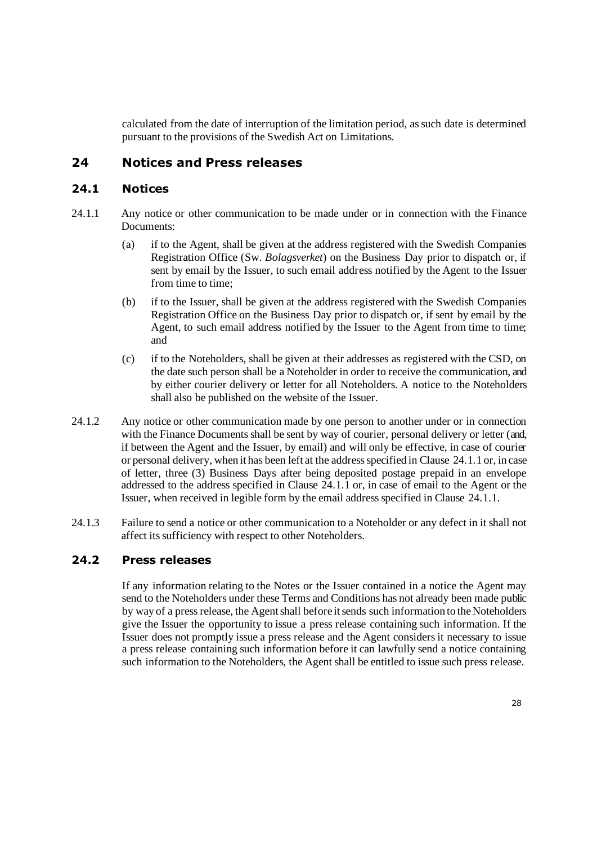calculated from the date of interruption of the limitation period, as such date is determined pursuant to the provisions of the Swedish Act on Limitations.

### **24 Notices and Press releases**

#### **24.1 Notices**

- <span id="page-27-0"></span>24.1.1 Any notice or other communication to be made under or in connection with the Finance Documents:
	- (a) if to the Agent, shall be given at the address registered with the Swedish Companies Registration Office (Sw. *Bolagsverket*) on the Business Day prior to dispatch or, if sent by email by the Issuer, to such email address notified by the Agent to the Issuer from time to time:
	- (b) if to the Issuer, shall be given at the address registered with the Swedish Companies Registration Office on the Business Day prior to dispatch or, if sent by email by the Agent, to such email address notified by the Issuer to the Agent from time to time; and
	- (c) if to the Noteholders, shall be given at their addresses as registered with the CSD, on the date such person shall be a Noteholder in order to receive the communication, and by either courier delivery or letter for all Noteholders. A notice to the Noteholders shall also be published on the website of the Issuer.
- 24.1.2 Any notice or other communication made by one person to another under or in connection with the Finance Documents shall be sent by way of courier, personal delivery or letter (and, if between the Agent and the Issuer, by email) and will only be effective, in case of courier or personal delivery, when it has been left at the address specified in Clause [24.1.1](#page-27-0) or, in case of letter, three (3) Business Days after being deposited postage prepaid in an envelope addressed to the address specified in Clause [24.1.1](#page-27-0) or, in case of email to the Agent or the Issuer, when received in legible form by the email address specified in Clause 24.1.1.
- 24.1.3 Failure to send a notice or other communication to a Noteholder or any defect in it shall not affect its sufficiency with respect to other Noteholders.

### **24.2 Press releases**

If any information relating to the Notes or the Issuer contained in a notice the Agent may send to the Noteholders under these Terms and Conditions has not already been made public by way of a press release, the Agent shall before it sends such information to the Noteholders give the Issuer the opportunity to issue a press release containing such information. If the Issuer does not promptly issue a press release and the Agent considers it necessary to issue a press release containing such information before it can lawfully send a notice containing such information to the Noteholders, the Agent shall be entitled to issue such press release.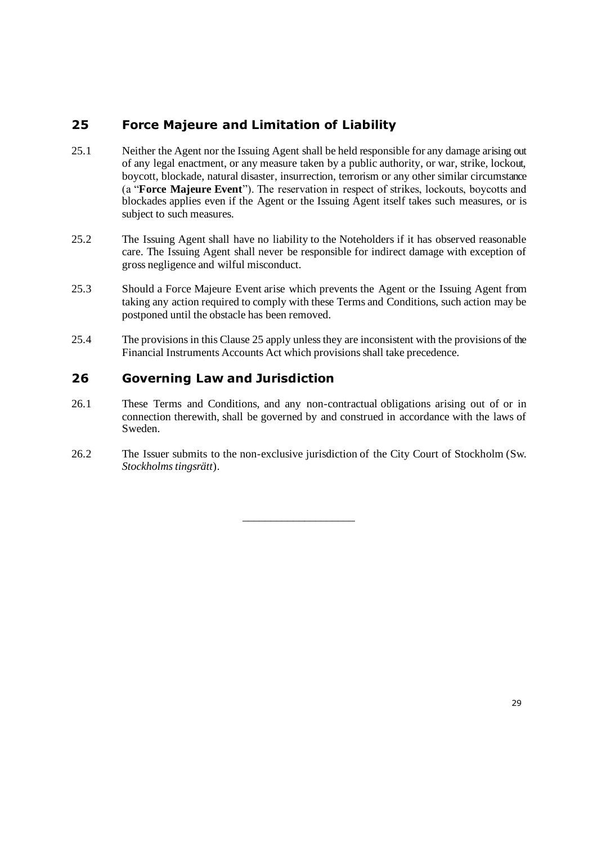# <span id="page-28-1"></span>**25 Force Majeure and Limitation of Liability**

- <span id="page-28-0"></span>25.1 Neither the Agent nor the Issuing Agent shall be held responsible for any damage arising out of any legal enactment, or any measure taken by a public authority, or war, strike, lockout, boycott, blockade, natural disaster, insurrection, terrorism or any other similar circumstance (a "**Force Majeure Event**"). The reservation in respect of strikes, lockouts, boycotts and blockades applies even if the Agent or the Issuing Agent itself takes such measures, or is subject to such measures.
- 25.2 The Issuing Agent shall have no liability to the Noteholders if it has observed reasonable care. The Issuing Agent shall never be responsible for indirect damage with exception of gross negligence and wilful misconduct.
- 25.3 Should a Force Majeure Event arise which prevents the Agent or the Issuing Agent from taking any action required to comply with these Terms and Conditions, such action may be postponed until the obstacle has been removed.
- 25.4 The provisions in this Clause [25](#page-28-1) apply unless they are inconsistent with the provisions of the Financial Instruments Accounts Act which provisions shall take precedence.

## **26 Governing Law and Jurisdiction**

- 26.1 These Terms and Conditions, and any non-contractual obligations arising out of or in connection therewith, shall be governed by and construed in accordance with the laws of Sweden.
- 26.2 The Issuer submits to the non-exclusive jurisdiction of the City Court of Stockholm (Sw. *Stockholms tingsrätt*).

\_\_\_\_\_\_\_\_\_\_\_\_\_\_\_\_\_\_\_\_